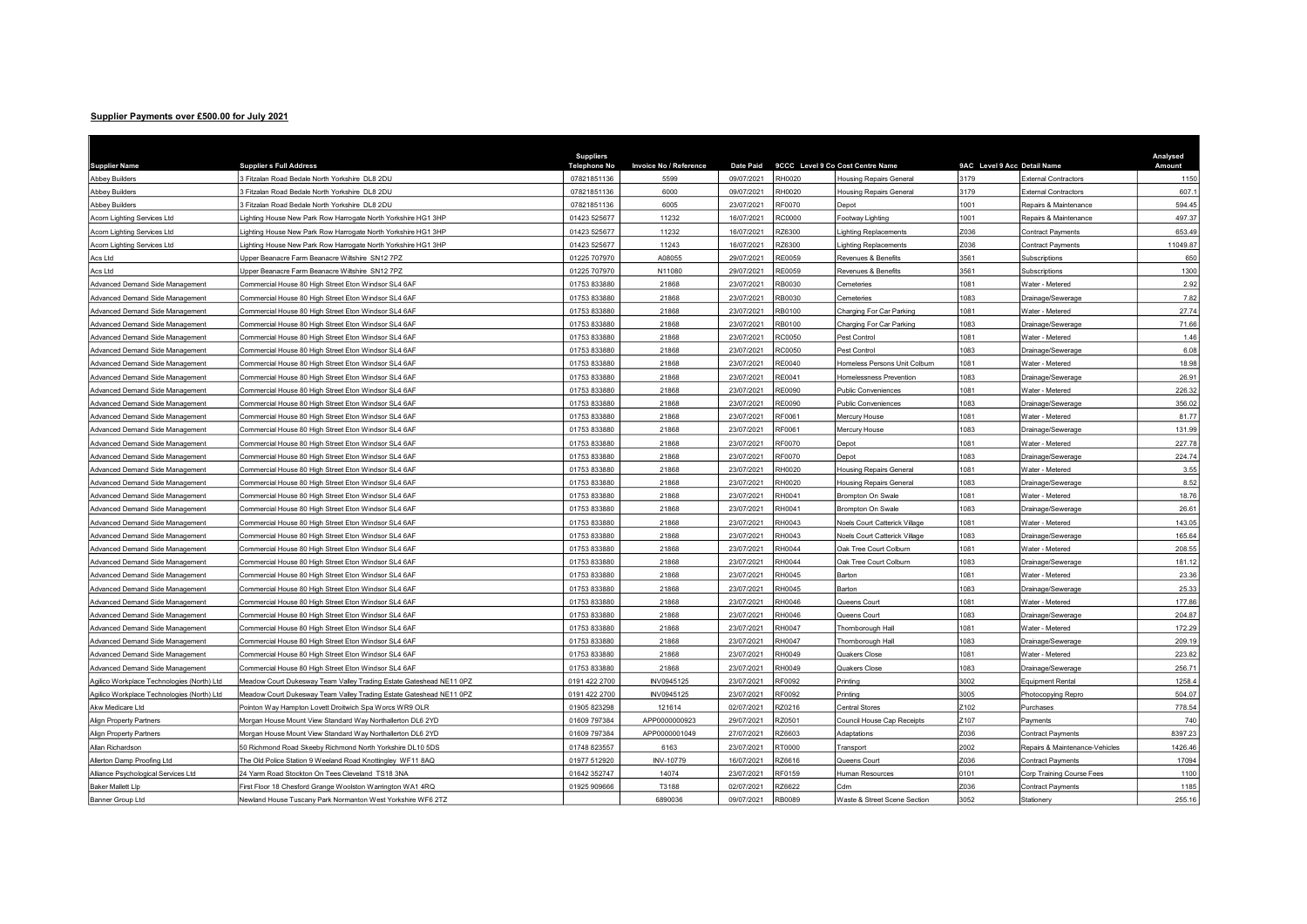## Supplier Payments over £500.00 for July 2021

| <b>Supplier Name</b>                       | <b>Supplier s Full Address</b>                                      | <b>Suppliers</b><br><b>Telephone No</b> | Invoice No / Reference | <b>Date Paid</b> |              | 9CCC Level 9 Co Cost Centre Name | 9AC Level 9 Acc Detail Name |                                | Analysed<br>Amount |
|--------------------------------------------|---------------------------------------------------------------------|-----------------------------------------|------------------------|------------------|--------------|----------------------------------|-----------------------------|--------------------------------|--------------------|
| <b>Abbey Builders</b>                      | Fitzalan Road Bedale North Yorkshire DL8 2DU                        | 07821851136                             | 5599                   | 09/07/2021       | <b>H0020</b> | Housing Repairs General          | 179                         | <b>External Contractors</b>    | 1150               |
| <b>Abbey Builders</b>                      | Fitzalan Road Bedale North Yorkshire DL8 2DU                        | 07821851136                             | 6000                   | 09/07/2021       | H0020        | <b>Housing Repairs General</b>   | 179                         | External Contractors           | 607.               |
| <b>Abbey Builders</b>                      | Fitzalan Road Bedale North Yorkshire DL8 2DU                        | 07821851136                             | 6005                   | 23/07/2021       | RF0070       | Depot                            | 001                         | Repairs & Maintenance          | 594.45             |
| Acorn Lighting Services Ltd                | Lighting House New Park Row Harrogate North Yorkshire HG1 3HP       | 01423 525677                            | 11232                  | 16/07/2021       | C0000        | Footway Lighting                 | 001                         | Repairs & Maintenance          | 497.37             |
| Acorn Lighting Services Ltd                | Lighting House New Park Row Harrogate North Yorkshire HG1 3HP       | 01423 525677                            | 11232                  | 16/07/2021       | Z6300        | ighting Replacements             | 036                         | <b>Contract Payments</b>       | 653.49             |
| Acorn Lighting Services Ltd                | Lighting House New Park Row Harrogate North Yorkshire HG1 3HP       | 01423 525677                            | 11243                  | 16/07/2021       | Z6300        | ighting Replacements             | 036                         | Contract Payments              | 11049.87           |
| Acs Ltd                                    | Upper Beanacre Farm Beanacre Wiltshire SN12 7PZ                     | 01225 707970                            | A08055                 | 29/07/2021       | E0059        | Revenues & Benefits              | 3561                        | Subscriptions                  | 650                |
| Acs Ltd                                    | Upper Beanacre Farm Beanacre Wiltshire SN12 7PZ                     | 01225 707970                            | N11080                 | 29/07/2021       | E0059        | Revenues & Benefits              | 3561                        | Subscriptions                  | 1300               |
| Advanced Demand Side Management            | Commercial House 80 High Street Eton Windsor SL4 6AF                | 01753 833880                            | 21868                  | 23/07/2021       | <b>B0030</b> | Cemeteries                       | 081                         | Water - Metered                | 2.92               |
| Advanced Demand Side Management            | Commercial House 80 High Street Eton Windsor SL4 6AF                | 01753 833880                            | 21868                  | 23/07/2021       | B0030        | Cemeteries                       | 083                         | Drainage/Sewerag               | 7.82               |
| Advanced Demand Side Management            | Commercial House 80 High Street Eton Windsor SL4 6AF                | 01753 833880                            | 21868                  | 23/07/2021       | B0100        | Charging For Car Parking         | 081                         | Water - Metered                | 27.74              |
| Advanced Demand Side Management            | Commercial House 80 High Street Eton Windsor SL4 6AF                | 01753 833880                            | 21868                  | 23/07/2021       | B0100        | Charging For Car Parking         | 083                         | Drainage/Sewerage              | 71.66              |
| Advanced Demand Side Management            | Commercial House 80 High Street Eton Windsor SL4 6AF                | 01753 833880                            | 21868                  | 23/07/2021       | C0050        | Pest Control                     | 081                         | Water - Metered                | 1.46               |
| Advanced Demand Side Management            | Commercial House 80 High Street Eton Windsor SL4 6AF                | 01753 833880                            | 21868                  | 23/07/2021       | C0050        | Pest Control                     | 083                         | Drainage/Sewerage              | 6.08               |
| Advanced Demand Side Management            | Commercial House 80 High Street Eton Windsor SL4 6AF                | 01753 833880                            | 21868                  | 23/07/2021       | RE0040       | Homeless Persons Unit Colburn    | 081                         | Water - Metered                | 18.98              |
| Advanced Demand Side Management            | Commercial House 80 High Street Eton Windsor SL4 6AF                | 01753 833880                            | 21868                  | 23/07/2021       | RE0041       | <b>Homelessness Prevention</b>   | 083                         | Drainage/Sewerage              | 26.91              |
| Advanced Demand Side Management            | Commercial House 80 High Street Eton Windsor SL4 6AF                | 01753 833880                            | 21868                  | 23/07/2021       | E0090        | <b>Public Conveniences</b>       | 081                         | <b>Nater - Metered</b>         | 226.32             |
| Advanced Demand Side Management            | Commercial House 80 High Street Eton Windsor SL4 6AF                | 01753 833880                            | 21868                  | 23/07/2021       | E0090        | <b>Public Conveniences</b>       | 083                         | Drainage/Sewerage              | 356.02             |
| Advanced Demand Side Management            | Commercial House 80 High Street Eton Windsor SL4 6AF                | 01753 833880                            | 21868                  | 23/07/2021       | F0061        | Mercury House                    | 081                         | <b>Nater - Metered</b>         | 81.77              |
| Advanced Demand Side Management            | Commercial House 80 High Street Eton Windsor SL4 6AF                | 01753 833880                            | 21868                  | 23/07/2021       | RF0061       | Mercury House                    | 083                         | Drainage/Sewerage              | 131.99             |
| Advanced Demand Side Management            | Commercial House 80 High Street Eton Windsor SL4 6AF                | 01753 833880                            | 21868                  | 23/07/2021       | F0070        | Depot                            | 081                         | <b>Nater - Metered</b>         | 227.78             |
| Advanced Demand Side Management            | Commercial House 80 High Street Eton Windsor SL4 6AF                | 01753 833880                            | 21868                  | 23/07/2021       | F0070        | Depot                            | 083                         | Drainage/Sewerage              | 224.74             |
| Advanced Demand Side Management            | Commercial House 80 High Street Eton Windsor SL4 6AF                | 01753 833880                            | 21868                  | 23/07/2021       | H0020        | <b>Housing Repairs General</b>   | 081                         | <b>Nater - Metered</b>         | 3.55               |
| Advanced Demand Side Management            | Commercial House 80 High Street Eton Windsor SL4 6AF                | 01753 833880                            | 21868                  | 23/07/2021       | H0020        | <b>Housing Repairs General</b>   | 083                         | Drainage/Sewerage              | 8.52               |
| Advanced Demand Side Management            | Commercial House 80 High Street Eton Windsor SL4 6AF                | 01753 833880                            | 21868                  | 23/07/2021       | H0041        | <b>Brompton On Swale</b>         | 081                         | <b>Nater - Metered</b>         | 18.76              |
| Advanced Demand Side Management            | Commercial House 80 High Street Eton Windsor SL4 6AF                | 01753 833880                            | 21868                  | 23/07/2021       | H0041        | Brompton On Swale                | 083                         | Drainage/Sewerage              | 26.61              |
| Advanced Demand Side Management            | Commercial House 80 High Street Eton Windsor SL4 6AF                | 01753 833880                            | 21868                  | 23/07/2021       | H0043        | Noels Court Catterick Village    | 081                         | <b>Nater - Metered</b>         | 143.05             |
| Advanced Demand Side Management            | Commercial House 80 High Street Eton Windsor SL4 6AF                | 01753 833880                            | 21868                  | 23/07/2021       | H0043        | Noels Court Catterick Village    | 083                         | Drainage/Sewerage              | 165.64             |
| Advanced Demand Side Management            | Commercial House 80 High Street Eton Windsor SL4 6AF                | 01753 833880                            | 21868                  | 23/07/2021       | H0044        | Oak Tree Court Colburn           | 081                         | Water - Metered                | 208.55             |
| Advanced Demand Side Management            | Commercial House 80 High Street Eton Windsor SL4 6AF                | 01753 833880                            | 21868                  | 23/07/2021       | H0044        | Oak Tree Court Colburn           | 083                         | Drainage/Sewerage              | 181.12             |
| Advanced Demand Side Management            | Commercial House 80 High Street Eton Windsor SL4 6AF                | 01753 833880                            | 21868                  | 23/07/2021       | H0045        | Barton                           | 081                         | Water - Metered                | 23.36              |
| Advanced Demand Side Management            | Commercial House 80 High Street Eton Windsor SL4 6AF                | 01753 833880                            | 21868                  | 23/07/2021       | H0045        | Barton                           | 083                         | Drainage/Sewerage              | 25.33              |
| Advanced Demand Side Management            | Commercial House 80 High Street Eton Windsor SL4 6AF                | 01753 833880                            | 21868                  | 23/07/2021       | H0046        | Queens Court                     | 081                         | <b>Nater - Metered</b>         | 177.86             |
| Advanced Demand Side Management            | Commercial House 80 High Street Eton Windsor SL4 6AF                | 01753 833880                            | 21868                  | 23/07/2021       | H0046        | Queens Court                     | 083                         | Drainage/Sewerage              | 204.87             |
| Advanced Demand Side Management            | Commercial House 80 High Street Eton Windsor SL4 6AF                | 01753 833880                            | 21868                  | 23/07/2021       | H0047        | Thornborough Hall                | 081                         | Vater - Metered                | 172.29             |
| Advanced Demand Side Management            | Commercial House 80 High Street Eton Windsor SL4 6AF                | 01753 833880                            | 21868                  | 23/07/2021       | H0047        | Thornborough Hall                | 083                         | Drainage/Sewerage              | 209.19             |
| Advanced Demand Side Management            | Commercial House 80 High Street Eton Windsor SL4 6AF                | 01753 833880                            | 21868                  | 23/07/2021       | RH0049       | <b>Quakers Close</b>             | 081                         | Water - Metered                | 223.82             |
| Advanced Demand Side Management            | Commercial House 80 High Street Eton Windsor SL4 6AF                | 01753 833880                            | 21868                  | 23/07/2021       | H0049        | <b>Quakers Close</b>             | 083                         | Drainage/Sewerage              | 256.71             |
| Agilico Workplace Technologies (North) Ltd | Meadow Court Dukesway Team Valley Trading Estate Gateshead NE11 0PZ | 0191 422 2700                           | INV0945125             | 23/07/2021       | F0092        | Printing                         | 3002                        | quipment Rental                | 1258.              |
| Agilico Workplace Technologies (North) Ltd | Meadow Court Dukesway Team Valley Trading Estate Gateshead NE11 0PZ | 0191 422 2700                           | INV0945125             | 23/07/2021       | F0092        | Printing                         | 3005                        | Photocopying Repro             | 504.07             |
| Akw Medicare Ltd                           | Pointon Way Hampton Lovett Droitwich Spa Worcs WR9 OLR              | 01905 823298                            | 121614                 | 02/07/2021       | Z0216        | Central Stores                   | 102                         | Purchases                      | 778.54             |
| <b>Align Property Partners</b>             | Morgan House Mount View Standard Way Northallerton DL6 2YD          | 01609 797384                            | APP0000000923          | 29/07/2021       | Z0501        | Council House Cap Receipts       | 2107                        | Payments                       | 740                |
| <b>Align Property Partners</b>             | Morgan House Mount View Standard Way Northallerton DL6 2YD          | 01609 797384                            | APP0000001049          | 27/07/2021       | Z6603        | Adaptations                      | 2036                        | Contract Payments              | 8397.23            |
| Allan Richardson                           | 50 Richmond Road Skeeby Richmond North Yorkshire DL10 5DS           | 01748 823557                            | 6163                   | 23/07/2021       | 00001        | Transport                        | 2002                        | Repairs & Maintenance-Vehicles | 1426.46            |
| Allerton Damp Proofing Ltd                 | The Old Police Station 9 Weeland Road Knottingley WF11 8AQ          | 01977 512920                            | <b>INV-10779</b>       | 16/07/2021       | RZ6616       | Queens Court                     | 2036                        | Contract Payments              | 17094              |
| Alliance Psychological Services Ltd        | 24 Yarm Road Stockton On Tees Cleveland TS18 3NA                    | 01642 352747                            | 14074                  | 23/07/2021       | F0159        | Human Resources                  | 101                         | Corp Training Course Fees      | 1100               |
| <b>Baker Mallett Llp</b>                   | First Floor 18 Chesford Grange Woolston Warrington WA1 4RQ          | 01925 909666                            | T3188                  | 02/07/2021       | Z6622        | Cdm                              | 036                         | Contract Payments              | 1185               |
| Banner Group Ltd                           | Newland House Tuscany Park Normanton West Yorkshire WF6 2TZ         |                                         | 6890036                | 09/07/2021       | RB0089       | Waste & Street Scene Section     | 3052                        | Stationery                     | 255.16             |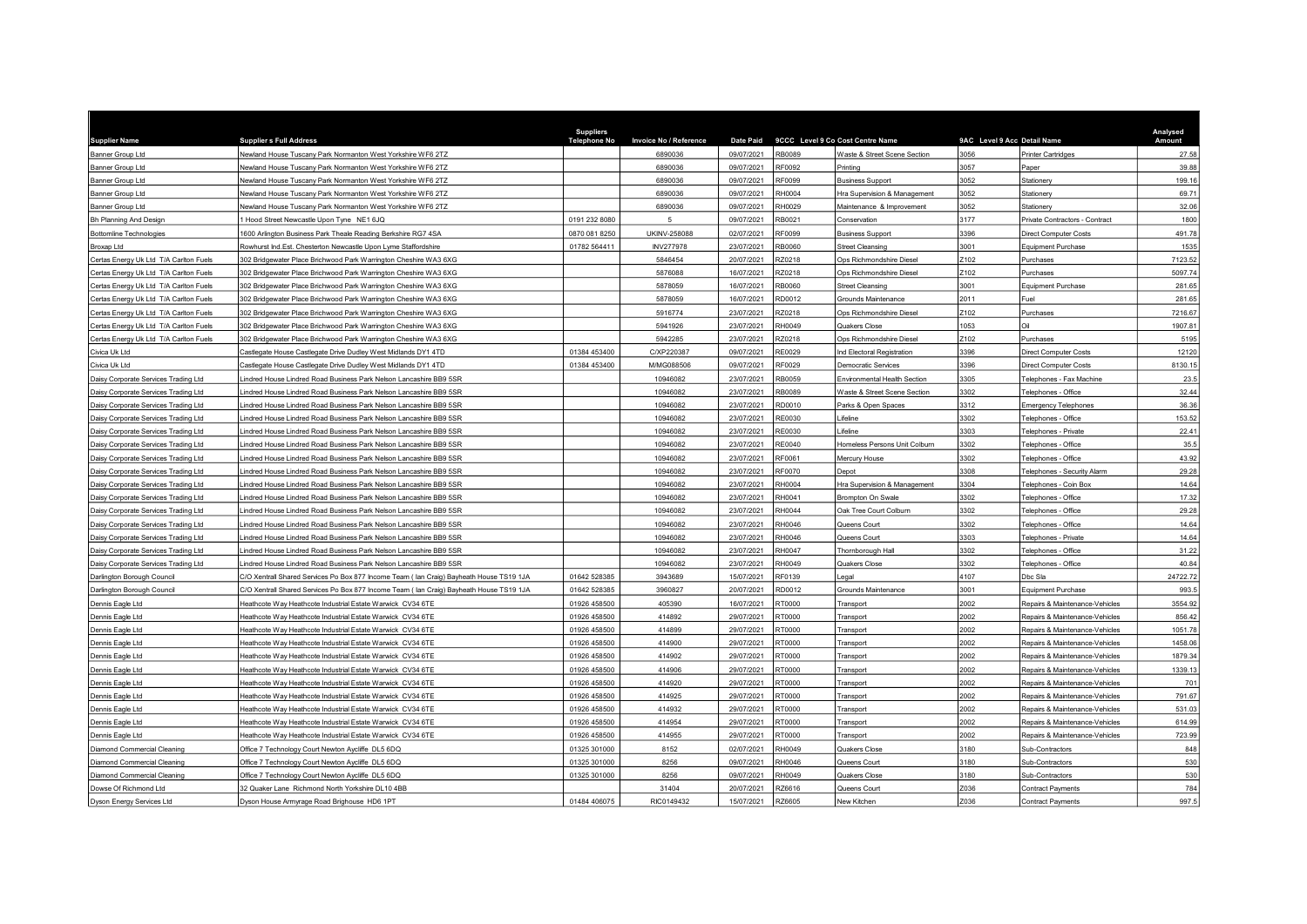| <b>Supplier Name</b>                   | <b>Supplier s Full Address</b>                                                          | <b>Suppliers</b><br><b>Telephone No</b> | <b>Invoice No / Reference</b> | <b>Date Paid</b> |               | 9CCC Level 9 Co Cost Centre Name    | 9AC Level 9 Acc Detail Name |                                 | Analysed<br>Amount |
|----------------------------------------|-----------------------------------------------------------------------------------------|-----------------------------------------|-------------------------------|------------------|---------------|-------------------------------------|-----------------------------|---------------------------------|--------------------|
| Banner Group Ltd                       | Newland House Tuscany Park Normanton West Yorkshire WF6 2TZ                             |                                         | 6890036                       | 09/07/2021       | RB0089        | Waste & Street Scene Section        | 3056                        | Printer Cartridges              | 27.58              |
| <b>Banner Group Ltd</b>                | Jewland House Tuscany Park Normanton West Yorkshire WF6 2TZ                             |                                         | 6890036                       | 09/07/2021       | RF0092        | Printina                            | 3057                        | Paper                           | 39.88              |
| Banner Group Ltd                       | Jewland House Tuscany Park Normanton West Yorkshire WF6 2TZ                             |                                         | 6890036                       | 09/07/2021       | F0099         | <b>Business Support</b>             | 052                         | Stationery                      | 199.16             |
| <b>Banner Group Ltd</b>                | Newland House Tuscany Park Normanton West Yorkshire WF6 2TZ                             |                                         | 6890036                       | 09/07/2021       | H0004         | Hra Supervision & Management        | 3052                        | Stationery                      | 69.71              |
| Banner Group Ltd                       | Newland House Tuscany Park Normanton West Yorkshire WF6 2TZ                             |                                         | 6890036                       | 09/07/2021       | RH0029        | Maintenance & Improvement           | 3052                        | Stationery                      | 32.06              |
| Bh Planning And Design                 | Hood Street Newcastle Upon Tyne NE1 6JQ                                                 | 0191 232 8080                           | $\overline{5}$                | 09/07/2021       | RB0021        | Conservation                        | 3177                        | Private Contractors - Contract  | 1800               |
| <b>Bottomline Technologies</b>         | 600 Arlington Business Park Theale Reading Berkshire RG7 4SA                            | 0870 081 8250                           | UKINV-258088                  | 02/07/2021       | F0099         | <b>Business Support</b>             | 3396                        | Direct Computer Costs           | 491.78             |
| Broxap Ltd                             | Rowhurst Ind.Est. Chesterton Newcastle Upon Lyme Staffordshire                          | 01782 564411                            | <b>INV277978</b>              | 23/07/2021       | RB0060        | <b>Street Cleansing</b>             | 3001                        | Equipment Purchase              | 1535               |
| Certas Energy Uk Ltd T/A Carlton Fuels | 802 Bridgewater Place Brichwood Park Warrington Cheshire WA3 6XG                        |                                         | 5846454                       | 20/07/2021       | Z0218         | Ops Richmondshire Diesel            | Z102                        | Purchases                       | 7123.52            |
| Certas Energy Uk Ltd T/A Carlton Fuels | 802 Bridgewater Place Brichwood Park Warrington Cheshire WA3 6XG                        |                                         | 5876088                       | 16/07/2021       | <b>220218</b> | Ops Richmondshire Diesel            | Z102                        | Purchases                       | 5097.74            |
| Certas Energy Uk Ltd T/A Carlton Fuels | 802 Bridgewater Place Brichwood Park Warrington Cheshire WA3 6XG                        |                                         | 5878059                       | 16/07/2021       | <b>B0060</b>  | <b>Street Cleansing</b>             | 3001                        | Equipment Purchase              | 281.65             |
| Certas Energy Uk Ltd T/A Carlton Fuels | 802 Bridgewater Place Brichwood Park Warrington Cheshire WA3 6XG                        |                                         | 5878059                       | 16/07/2021       | D0012         | Grounds Maintenance                 | 2011                        | Fuel                            | 281.65             |
| Certas Energy Uk Ltd T/A Carlton Fuels | 02 Bridgewater Place Brichwood Park Warrington Cheshire WA3 6XG                         |                                         | 5916774                       | 23/07/2021       | Z0218         | Ops Richmondshire Diesel            | Z102                        | Purchases                       | 7216.67            |
| Certas Energy Uk Ltd T/A Carlton Fuels | 302 Bridgewater Place Brichwood Park Warrington Cheshire WA3 6XG                        |                                         | 5941926                       | 23/07/2021       | RH0049        | Quakers Close                       | 1053                        | hi                              | 1907.81            |
| Certas Energy Uk Ltd T/A Carlton Fuels | 302 Bridgewater Place Brichwood Park Warrington Cheshire WA3 6XG                        |                                         | 5942285                       | 23/07/2021       | Z0218         | Ops Richmondshire Diesel            | Z102                        | Purchases                       | 5195               |
| Civica Uk Ltd                          | Castlegate House Castlegate Drive Dudley West Midlands DY1 4TD                          | 01384 453400                            | C/XP220387                    | 09/07/2021       | E0029         | Ind Electoral Registration          | 3396                        | Direct Computer Costs           | 12120              |
| Civica Uk Ltd                          | Castlegate House Castlegate Drive Dudley West Midlands DY1 4TD                          | 01384 453400                            | M/MG088506                    | 09/07/2021       | RF0029        | <b>Democratic Services</b>          | 3396                        | <b>Direct Computer Costs</b>    | 8130.15            |
| Daisy Corporate Services Trading Ltd   | indred House Lindred Road Business Park Nelson Lancashire BB9 5SR                       |                                         | 10946082                      | 23/07/2021       | <b>B0059</b>  | <b>Environmental Health Section</b> | 3305                        | <b>Telephones - Fax Machine</b> | 23.5               |
| Daisy Corporate Services Trading Ltd   | indred House Lindred Road Business Park Nelson Lancashire BB9 5SR                       |                                         | 10946082                      | 23/07/2021       | <b>B0089</b>  | Waste & Street Scene Section        | 3302                        | Telephones - Office             | 32.44              |
| Daisy Corporate Services Trading Ltd   | Indred House Lindred Road Business Park Nelson Lancashire BB9 5SR                       |                                         | 10946082                      | 23/07/2021       | RD0010        | Parks & Open Spaces                 | 3312                        | <b>Emergency Telephones</b>     | 36.36              |
| Daisy Corporate Services Trading Ltd   | indred House Lindred Road Business Park Nelson Lancashire BB9 5SR.                      |                                         | 10946082                      | 23/07/2021       | RE0030        | Lifeline                            | 3302                        | <b>Telephones - Office</b>      | 153.52             |
| Daisy Corporate Services Trading Ltd   | indred House Lindred Road Business Park Nelson Lancashire BB9 5SR                       |                                         | 10946082                      | 23/07/2021       | RE0030        | Lifeline                            | 3303                        | <b>Telephones - Private</b>     | 22.41              |
| Daisy Corporate Services Trading Ltd   | indred House Lindred Road Business Park Nelson Lancashire BB9 5SR                       |                                         | 10946082                      | 23/07/2021       | E0040         | Homeless Persons Unit Colburn       | 302                         | Felephones - Office             | 35.5               |
| Daisy Corporate Services Trading Ltd   | Lindred House Lindred Road Business Park Nelson Lancashire BB9 5SR                      |                                         | 10946082                      | 23/07/2021       | RF0061        | Mercury House                       | 3302                        | Telephones - Office             | 43.92              |
| Daisy Corporate Services Trading Ltd   | indred House Lindred Road Business Park Nelson Lancashire BB9 5SR                       |                                         | 10946082                      | 23/07/2021       | RF0070        | Depot                               | 3308                        | Telephones - Security Alarm     | 29.28              |
| Daisy Corporate Services Trading Ltd   | indred House Lindred Road Business Park Nelson Lancashire BB9 5SR                       |                                         | 10946082                      | 23/07/2021       | H0004         | Hra Supervision & Management        | 3304                        | Telephones - Coin Box           | 14.64              |
| Daisy Corporate Services Trading Ltd   | Lindred House Lindred Road Business Park Nelson Lancashire BB9 5SR                      |                                         | 10946082                      | 23/07/2021       | RH0041        | <b>Brompton On Swale</b>            | 3302                        | Felephones - Office             | 17.32              |
| Daisy Corporate Services Trading Ltd   | indred House Lindred Road Business Park Nelson Lancashire BB9 5SR                       |                                         | 10946082                      | 23/07/2021       | H0044         | Oak Tree Court Colburn              | 3302                        | Felephones - Office             | 29.28              |
| Daisy Corporate Services Trading Ltd   | indred House Lindred Road Business Park Nelson Lancashire BB9 5SR                       |                                         | 10946082                      | 23/07/2021       | RH0046        | Queens Court                        | 3302                        | Telephones - Office             | 14.64              |
| Daisy Corporate Services Trading Ltd   | indred House Lindred Road Business Park Nelson Lancashire BB9 5SR                       |                                         | 10946082                      | 23/07/2021       | H0046         | Queens Court                        | 3303                        | Telephones - Private            | 14.64              |
| Daisy Corporate Services Trading Ltd   | indred House Lindred Road Business Park Nelson Lancashire BB9 5SR                       |                                         | 10946082                      | 23/07/2021       | H0047         | Thornborough Hall                   | 3302                        | Telephones - Office             | 31.22              |
| Daisy Corporate Services Trading Ltd   | indred House Lindred Road Business Park Nelson Lancashire BB9 5SR                       |                                         | 10946082                      | 23/07/2021       | RH0049        | <b>Quakers Close</b>                | 3302                        | Telephones - Office             | 40.84              |
| Darlington Borough Council             | C/O Xentrall Shared Services Po Box 877 Income Team (Ian Craig) Bayheath House TS19 1JA | 01642 528385                            | 3943689                       | 15/07/2021       | E0139         | Legal                               | 4107                        | Dhc Sla                         | 24722.72           |
| Darlington Borough Council             | C/O Xentrall Shared Services Po Box 877 Income Team (Ian Craig) Bayheath House TS19 1JA | 01642 528385                            | 3960827                       | 20/07/2021       | RD0012        | Grounds Maintenance                 | 3001                        | Equipment Purchase              | 993.5              |
| Dennis Eagle Ltd                       | leathcote Way Heathcote Industrial Estate Warwick CV34 6TE                              | 01926 458500                            | 405390                        | 16/07/2021       | RT0000        | Transport                           | 2002                        | Repairs & Maintenance-Vehicles  | 3554.92            |
| Dennis Eagle Ltd                       | leathcote Way Heathcote Industrial Estate Warwick CV34 6TE                              | 01926 458500                            | 414892                        | 29/07/2021       | 0000T         | Transport                           | 2002                        | Repairs & Maintenance-Vehicles  | 856.42             |
| Dennis Eagle Ltd                       | Heathcote Way Heathcote Industrial Estate Warwick CV34 6TE                              | 01926 458500                            | 414899                        | 29/07/2021       | 00007         | Transport                           | 2002                        | Repairs & Maintenance-Vehicles  | 1051.78            |
| Dennis Eagle Ltd                       | leathcote Way Heathcote Industrial Estate Warwick CV34 6TE                              | 01926 458500                            | 414900                        | 29/07/2021       | 00001         | Transport                           | 2002                        | Repairs & Maintenance-Vehicles  | 1458.06            |
| Dennis Eagle Ltd                       | leathcote Way Heathcote Industrial Estate Warwick CV34 6TE                              | 01926 458500                            | 414902                        | 29/07/2021       | 00001         | Transport                           | 2002                        | Repairs & Maintenance-Vehicles  | 1879.34            |
| Dennis Eagle Ltd                       | leathcote Way Heathcote Industrial Estate Warwick CV34 6TE                              | 01926 458500                            | 414906                        | 29/07/2021       | T0000         | Transport                           | 2002                        | Repairs & Maintenance-Vehicles  | 1339.13            |
| Dennis Eagle Ltd                       | Heathcote Way Heathcote Industrial Estate Warwick CV34 6TE                              | 01926 458500                            | 414920                        | 29/07/2021       | 0000T         | Transport                           | 2002                        | Repairs & Maintenance-Vehicles  | 701                |
| Dennis Eagle Ltd                       | leathcote Way Heathcote Industrial Estate Warwick CV34 6TE                              | 01926 458500                            | 414925                        | 29/07/2021       | 00007         | Transport                           | 2002                        | Repairs & Maintenance-Vehicles  | 791.67             |
| Dennis Eagle Ltd                       | leathcote Way Heathcote Industrial Estate Warwick CV34 6TE                              | 01926 458500                            | 414932                        | 29/07/2021       | <b>COOOO</b>  | Transport                           | 2002                        | Repairs & Maintenance-Vehicles  | 531.03             |
| Dennis Eagle Ltd                       | leathcote Way Heathcote Industrial Estate Warwick CV34 6TE                              | 01926 458500                            | 414954                        | 29/07/2021       | 0000T         | Transport                           | 2002                        | Repairs & Maintenance-Vehicles  | 614.99             |
| Dennis Eagle Ltd                       | leathcote Way Heathcote Industrial Estate Warwick CV34 6TE                              | 01926 458500                            | 414955                        | 29/07/2021       | T0000         | Transport                           | 2002                        | Repairs & Maintenance-Vehicles  | 723.99             |
| Diamond Commercial Cleaning            | Office 7 Technology Court Newton Aycliffe DL5 6DQ                                       | 01325 301000                            | 8152                          | 02/07/2021       | H0049         | Quakers Close                       | 3180                        | Sub-Contractors                 | 848                |
| Diamond Commercial Cleaning            | Office 7 Technology Court Newton Aycliffe DL5 6DQ                                       | 01325 301000                            | 8256                          | 09/07/2021       | H0046         | Queens Court                        | 3180                        | Sub-Contractors                 | 530                |
| Diamond Commercial Cleaning            | Office 7 Technology Court Newton Aycliffe DL5 6DQ                                       | 01325 301000                            | 8256                          | 09/07/2021       | H0049         | Quakers Close                       | 180                         | Sub-Contractors                 | 530                |
| Dowse Of Richmond Ltd                  | 32 Quaker Lane Richmond North Yorkshire DL10 4BB                                        |                                         | 31404                         | 20/07/2021       | <b>RZ6616</b> | Queens Court                        | Z036                        | <b>Contract Payments</b>        | 784                |
| Dyson Energy Services Ltd              | Dyson House Armyrage Road Brighouse HD6 1PT                                             | 01484 406075                            | RIC0149432                    | 15/07/2021       | <b>RZ6605</b> | New Kitchen                         | Z036                        | <b>Contract Payments</b>        | 997.5              |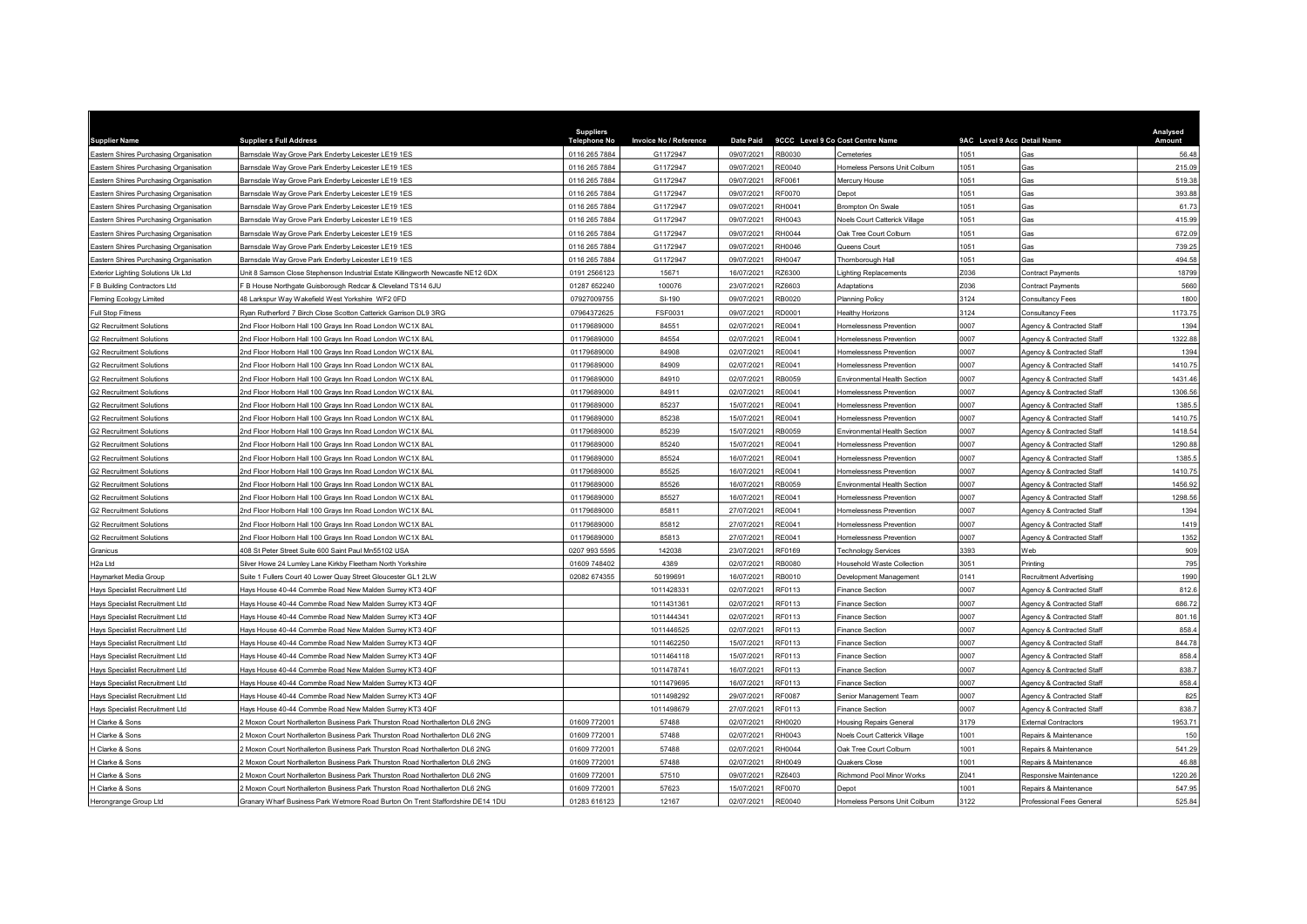| <b>Supplier Name</b>                      | <b>Supplier s Full Address</b>                                                   | <b>Suppliers</b><br><b>Telephone No</b> | Invoice No / Reference | <b>Date Paid</b> | 9CCC Level 9 Co Cost Centre Name |                                | 9AC Level 9 Acc Detail Name |                           | Analysed<br>Amount |
|-------------------------------------------|----------------------------------------------------------------------------------|-----------------------------------------|------------------------|------------------|----------------------------------|--------------------------------|-----------------------------|---------------------------|--------------------|
| Eastern Shires Purchasing Organisation    | Barnsdale Way Grove Park Enderby Leicester LE19 1ES                              | 0116 265 7884                           | G1172947               | 09/07/2021       | RB0030                           | Cemeteries                     | 1051                        | Gas                       | 56.48              |
| Eastern Shires Purchasing Organisation    | Barnsdale Way Grove Park Enderby Leicester LE19 1ES                              | 0116 265 7884                           | G1172947               | 09/07/2021       | F0040                            | Homeless Persons Unit Colburn  | 051                         | Gas                       | 215.09             |
| Eastern Shires Purchasing Organisation    | Barnsdale Way Grove Park Enderby Leicester LE19 1ES                              | 0116 265 7884                           | G1172947               | 09/07/2021       | RF0061                           | Mercury House                  | 1051                        | Gas                       | 519.38             |
| Eastern Shires Purchasing Organisation    | 3arnsdale Way Grove Park Enderby Leicester LE19 1ES                              | 0116 265 7884                           | G1172947               | 09/07/2021       | F0070                            | <b>Depot</b>                   | 1051                        | Gas                       | 393.88             |
| Eastern Shires Purchasing Organisation    | Barnsdale Way Grove Park Enderby Leicester LE19 1ES                              | 0116 265 7884                           | G1172947               | 09/07/2021       | RH0041                           | Brompton On Swale              | 1051                        | Gas                       | 61.73              |
| Eastern Shires Purchasing Organisation    | Barnsdale Way Grove Park Enderby Leicester LE19 1ES                              | 0116 265 7884                           | G1172947               | 09/07/2021       | RH0043                           | Noels Court Catterick Village  | 1051                        | Gas                       | 415.99             |
| Eastern Shires Purchasing Organisation    | Barnsdale Way Grove Park Enderby Leicester LE19 1ES                              | 0116 265 7884                           | G1172947               | 09/07/2021       | H0044                            | Oak Tree Court Colburn         | 1051                        | Gas                       | 672.09             |
| Eastern Shires Purchasing Organisation    | Barnsdale Way Grove Park Enderby Leicester LE19 1ES                              | 0116 265 7884                           | G1172947               | 09/07/2021       | RH0046                           | Queens Court                   | 1051                        | Gas                       | 739.25             |
| Eastern Shires Purchasing Organisation    | 3arnsdale Way Grove Park Enderby Leicester LE19 1ES                              | 0116 265 7884                           | G1172947               | 09/07/2021       | H0047                            | Thornborough Hall              | 1051                        | <b>Gas</b>                | 494.58             |
| <b>Exterior Lighting Solutions Uk Ltd</b> | Jnit 8 Samson Close Stephenson Industrial Estate Killingworth Newcastle NE12 6DX | 0191 2566123                            | 15671                  | 16/07/2021       | <b>Z6300</b>                     | ighting Replacements           | Z036                        | Contract Payments         | 18799              |
| F B Building Contractors Ltd              | B House Northgate Guisborough Redcar & Cleveland TS14 6JU                        | 01287 652240                            | 100076                 | 23/07/2021       | Z6603                            | Adaptations                    | Z036                        | Contract Payments         | 5660               |
| <b>Fleming Ecology Limited</b>            | 48 Larkspur Way Wakefield West Yorkshire WF2 0FD                                 | 07927009755                             | SI-190                 | 09/07/2021       | B0020                            | Planning Policy                | 3124                        | Consultancy Fees          | 1800               |
| Full Stop Fitness                         | Ryan Rutherford 7 Birch Close Scotton Catterick Garrison DL9 3RG                 | 07964372625                             | FSF0031                | 09/07/2021       | RD0001                           | Healthy Horizons               | 3124                        | Consultancy Fees          | 1173.75            |
| <b>G2 Recruitment Solutions</b>           | 2nd Floor Holborn Hall 100 Grays Inn Road London WC1X 8AL                        | 01179689000                             | 84551                  | 02/07/2021       | E0041:                           | Iomelessness Prevention        | 0007                        | Agency & Contracted Staff | 1394               |
| <b>G2 Recruitment Solutions</b>           | 2nd Floor Holborn Hall 100 Grays Inn Road London WC1X 8AL                        | 01179689000                             | 84554                  | 02/07/2021       | RE0041                           | Homelessness Prevention        | 0007                        | Agency & Contracted Staff | 1322.88            |
| <b>G2 Recruitment Solutions</b>           | 2nd Floor Holborn Hall 100 Grays Inn Road London WC1X 8AL                        | 01179689000                             | 84908                  | 02/07/2021       | E0041                            | Iomelessness Prevention        | 0007                        | Agency & Contracted Staff | 1394               |
| <b>G2 Recruitment Solutions</b>           | 2nd Floor Holborn Hall 100 Grays Inn Road London WC1X 8AL                        | 01179689000                             | 84909                  | 02/07/2021       | RE0041                           | Homelessness Prevention        | 0007                        | Agency & Contracted Staff | 1410.75            |
| <b>G2 Recruitment Solutions</b>           | 2nd Floor Holborn Hall 100 Grays Inn Road London WC1X 8AL                        | 01179689000                             | 84910                  | 02/07/2021       | RB0059                           | Environmental Health Section   | 0007                        | Agency & Contracted Staff | 1431.46            |
| <b>G2 Recruitment Solutions</b>           | 2nd Floor Holborn Hall 100 Grays Inn Road London WC1X 8AL                        | 01179689000                             | 84911                  | 02/07/2021       | RE0041                           | <b>Homelessness Prevention</b> | 0007                        | Agency & Contracted Staff | 1306.56            |
| <b>G2 Recruitment Solutions</b>           | 2nd Floor Holborn Hall 100 Grays Inn Road London WC1X 8AL                        | 01179689000                             | 85237                  | 15/07/2021       | RE0041                           | Homelessness Prevention        | 0007                        | Agency & Contracted Staff | 1385.5             |
| <b>G2 Recruitment Solutions</b>           | 2nd Floor Holborn Hall 100 Grays Inn Road London WC1X 8AL                        | 01179689000                             | 85238                  | 15/07/2021       | RE0041                           | Iomelessness Prevention        | 0007                        | Agency & Contracted Staff | 1410.7             |
| <b>G2 Recruitment Solutions</b>           | 2nd Floor Holborn Hall 100 Grays Inn Road London WC1X 8AL                        | 01179689000                             | 85239                  | 15/07/2021       | RB0059                           | Environmental Health Section   | 0007                        | Agency & Contracted Staff | 1418.54            |
| <b>G2 Recruitment Solutions</b>           | 2nd Floor Holborn Hall 100 Grays Inn Road London WC1X 8AL                        | 01179689000                             | 85240                  | 15/07/2021       | E0041                            | <b>Homelessness Prevention</b> | 0007                        | Agency & Contracted Staff | 1290.88            |
| <b>G2 Recruitment Solutions</b>           | 2nd Floor Holborn Hall 100 Grays Inn Road London WC1X 8AL                        | 01179689000                             | 85524                  | 16/07/2021       | RE0041                           | Homelessness Prevention        | 0007                        | Agency & Contracted Staff | 1385.              |
| <b>G2 Recruitment Solutions</b>           | 2nd Floor Holborn Hall 100 Grays Inn Road London WC1X 8AL                        | 01179689000                             | 85525                  | 16/07/2021       | RE0041                           | Homelessness Prevention        | 0007                        | Agency & Contracted Staff | 1410.75            |
| <b>G2 Recruitment Solutions</b>           | Ind Floor Holborn Hall 100 Grays Inn Road London WC1X 8AL                        | 01179689000                             | 85526                  | 16/07/2021       | B0059                            | Environmental Health Section   | 0007                        | Agency & Contracted Staff | 1456.92            |
| <b>G2 Recruitment Solutions</b>           | 2nd Floor Holborn Hall 100 Grays Inn Road London WC1X 8AL                        | 01179689000                             | 85527                  | 16/07/2021       | RE0041                           | Homelessness Prevention        | 0007                        | Agency & Contracted Staff | 1298.56            |
| <b>G2 Recruitment Solutions</b>           | 2nd Floor Holborn Hall 100 Grays Inn Road London WC1X 8AL                        | 01179689000                             | 85811                  | 27/07/2021       | E0041                            | Homelessness Prevention        | 0007                        | Agency & Contracted Staff | 1394               |
| <b>G2 Recruitment Solutions</b>           | Ind Floor Holborn Hall 100 Grays Inn Road London WC1X 8AL                        | 01179689000                             | 85812                  | 27/07/2021       | RE0041                           | Iomelessness Prevention        | 0007                        | Agency & Contracted Staff | 1419               |
| <b>G2 Recruitment Solutions</b>           | Ind Floor Holborn Hall 100 Grays Inn Road London WC1X 8AL                        | 01179689000                             | 85813                  | 27/07/2021       | F0041                            | <b>Homelessness Prevention</b> | 0007                        | Agency & Contracted Staf  | 1352               |
| Granicus                                  | 408 St Peter Street Suite 600 Saint Paul Mn55102 USA                             | 0207 993 5595                           | 142038                 | 23/07/2021       | RF0169                           | <b>Technology Services</b>     | 3393                        | Web                       | 909                |
| H <sub>2a</sub> Ltd                       | Silver Howe 24 Lumley Lane Kirkby Fleetham North Yorkshire                       | 01609 748402                            | 4389                   | 02/07/2021       | RB0080                           | Household Waste Collection     | 3051                        | Printing                  | 795                |
| Haymarket Media Group                     | Suite 1 Fullers Court 40 Lower Quay Street Gloucester GL1 2LW                    | 02082 674355                            | 50199691               | 16/07/2021       | RB0010                           | Development Management         | 0141                        | Recruitment Advertising   | 1990               |
| Hays Specialist Recruitment Ltd           | Hays House 40-44 Commbe Road New Malden Surrey KT3 4QF                           |                                         | 1011428331             | 02/07/2021       | RF0113                           | <b>Finance Section</b>         | 0007                        | Agency & Contracted Staff | 812.6              |
| Hays Specialist Recruitment Ltd           | Hays House 40-44 Commbe Road New Malden Surrey KT3 4QF                           |                                         | 1011431361             | 02/07/2021       | RF0113                           | Finance Section                | 0007                        | Agency & Contracted Staff | 686.72             |
| Hays Specialist Recruitment Ltd           | Hays House 40-44 Commbe Road New Malden Surrey KT3 4QF                           |                                         | 1011444341             | 02/07/2021       | RF0113                           | Finance Section                | 0007                        | Agency & Contracted Staff | 801.16             |
| Hays Specialist Recruitment Ltd           | lays House 40-44 Commbe Road New Malden Surrey KT3 4QF                           |                                         | 1011446525             | 02/07/2021       | F0113                            | Finance Section                | 0007                        | Agency & Contracted Staff | 858.               |
| Hays Specialist Recruitment Ltd           | Hays House 40-44 Commbe Road New Malden Surrey KT3 4QF                           |                                         | 1011462250             | 15/07/2021       | RF0113                           | <b>Finance Section</b>         | 0007                        | Agency & Contracted Staff | 844.78             |
| Hays Specialist Recruitment Ltd           | Hays House 40-44 Commbe Road New Malden Surrey KT3 4QF                           |                                         | 1011464118             | 15/07/2021       | RF0113                           | <b>Finance Section</b>         | 0007                        | Agency & Contracted Staff | 858.4              |
| Hays Specialist Recruitment Ltd           | lays House 40-44 Commbe Road New Malden Surrey KT3 4QF                           |                                         | 1011478741             | 16/07/2021       | RF0113                           | Finance Section                | 0007                        | Agency & Contracted Staff | 838.7              |
| Hays Specialist Recruitment Ltd           | Hays House 40-44 Commbe Road New Malden Surrey KT3 4QF                           |                                         | 1011479695             | 16/07/2021       | RF0113                           | <b>Finance Section</b>         | 0007                        | Agency & Contracted Staff | 858.4              |
| Hays Specialist Recruitment Ltd           | Hays House 40-44 Commbe Road New Malden Surrey KT3 4QF                           |                                         | 1011498292             | 29/07/2021       | RF0087                           | Senior Management Team         | 0007                        | Agency & Contracted Staff | 825                |
| Hays Specialist Recruitment Ltd           | lays House 40-44 Commbe Road New Malden Surrey KT3 4QF                           |                                         | 1011498679             | 27/07/2021       | RF0113                           | Finance Section                | 0007                        | Agency & Contracted Staff | 838.7              |
| H Clarke & Sons                           | Moxon Court Northallerton Business Park Thurston Road Northallerton DL6 2NG      | 01609 772001                            | 57488                  | 02/07/2021       | H0020                            | Housing Repairs General        | 3179                        | External Contractors      | 1953.7             |
| H Clarke & Sons                           | Moxon Court Northallerton Business Park Thurston Road Northallerton DL6 2NG      | 01609 772001                            | 57488                  | 02/07/202        | H0043                            | Noels Court Catterick Village  | 1001                        | Repairs & Maintenance     | 150                |
| H Clarke & Sons                           | Moxon Court Northallerton Business Park Thurston Road Northallerton DL6 2NG      | 01609 772001                            | 57488                  | 02/07/2021       | RH0044                           | Oak Tree Court Colburn         | 1001                        | Repairs & Maintenance     | 541.29             |
| H Clarke & Sons                           | Moxon Court Northallerton Business Park Thurston Road Northallerton DL6 2NG      | 01609 772001                            | 57488                  | 02/07/2021       | H0049                            | <b>Quakers Close</b>           | 1001                        | Repairs & Maintenance     | 46.88              |
| H Clarke & Sons                           | Moxon Court Northallerton Business Park Thurston Road Northallerton DL6 2NG      | 01609 772001                            | 57510                  | 09/07/2021       | <b>Z6403</b>                     | Richmond Pool Minor Works      | 2041                        | Responsive Maintenance    | 1220.26            |
| H Clarke & Sons                           | Moxon Court Northallerton Business Park Thurston Road Northallerton DL6 2NG      | 01609 772001                            | 57623                  | 15/07/2021       | RF0070                           | Depot                          | 1001                        | Repairs & Maintenance     | 547.95             |
| Herongrange Group Ltd                     | Granary Wharf Business Park Wetmore Road Burton On Trent Staffordshire DE14 1DU  | 01283 616123                            | 12167                  | 02/07/2021       | RE0040                           | Iomeless Persons Unit Colburn  | 3122                        | Professional Fees General | 525.84             |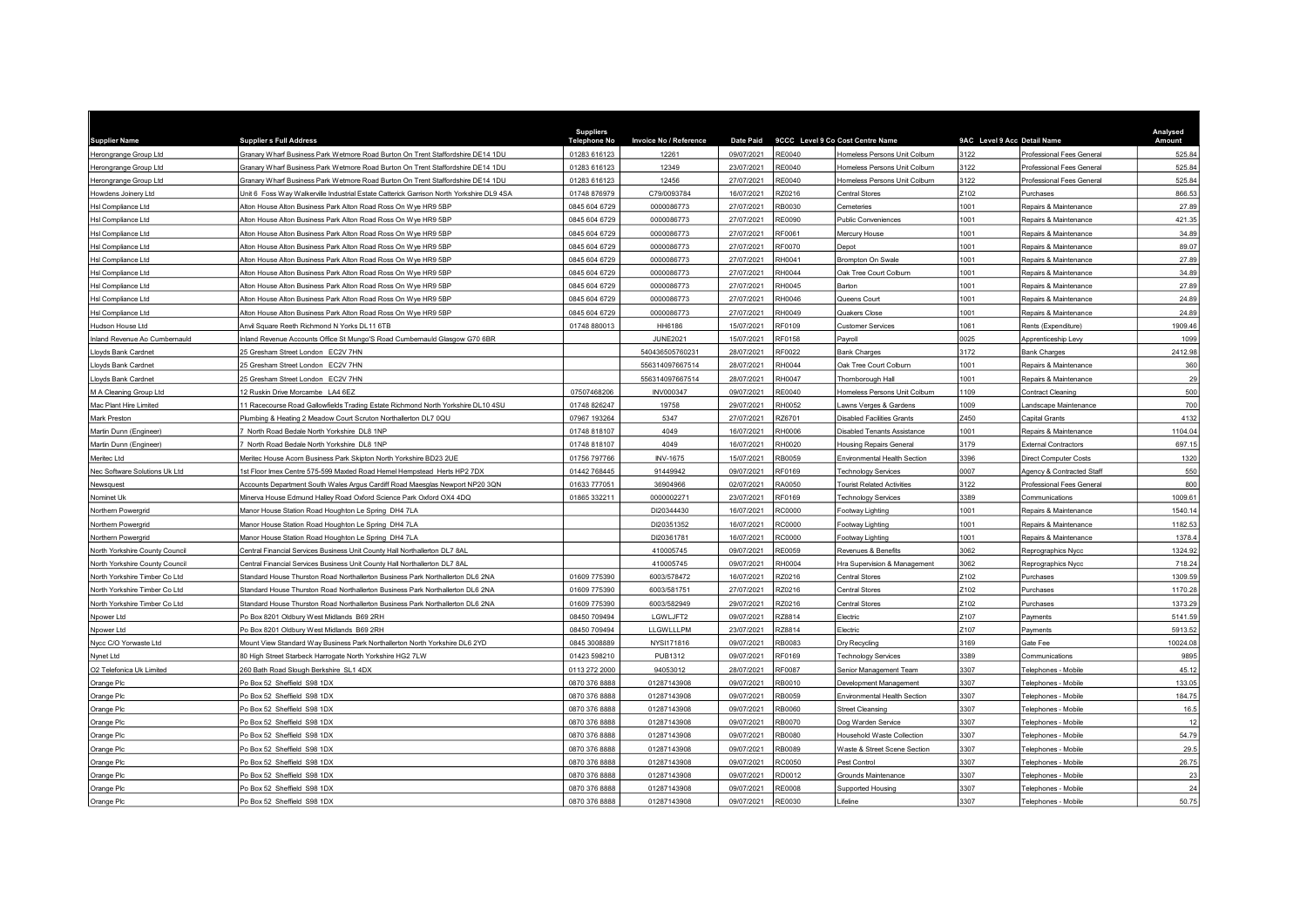| <b>Supplier Name</b>           | <b>Suppliers Full Address</b>                                                            | <b>Suppliers</b><br><b>Telephone No</b> | <b>Invoice No / Reference</b> | <b>Date Paid</b>         |                | 9CCC Level 9 Co Cost Centre Name                 | 9AC Level 9 Acc Detail Name |                                                   | Analysed<br>Amount |
|--------------------------------|------------------------------------------------------------------------------------------|-----------------------------------------|-------------------------------|--------------------------|----------------|--------------------------------------------------|-----------------------------|---------------------------------------------------|--------------------|
| Herongrange Group Ltd          | Granary Wharf Business Park Wetmore Road Burton On Trent Staffordshire DE14 1DU          | 01283 616123                            | 12261                         | 09/07/2021               | E0040          | Homeless Persons Unit Colburn                    | 3122                        | Professional Fees General                         | 525.84             |
| Herongrange Group Ltd          | Granary Wharf Business Park Wetmore Road Burton On Trent Staffordshire DE14 1DU          | 01283 616123                            | 12349                         | 23/07/2021               | RE0040         | Homeless Persons Unit Colburn                    | 3122                        | Professional Fees General                         | 525.84             |
| Herongrange Group Ltd          | Granary Wharf Business Park Wetmore Road Burton On Trent Staffordshire DE14 1DU          | 01283 616123                            | 12456                         | 27/07/2021               | E0040          | Homeless Persons Unit Colburn                    | 3122                        | Professional Fees General                         | 525.84             |
| Howdens Joinery Ltd            | Jnit 6 Foss Way Walkerville Industrial Estate Catterick Garrison North Yorkshire DL9 4SA | 01748 876979                            | C79/0093784                   | 16/07/2021               | <b>220216</b>  | Central Stores                                   | Z102                        | Purchases                                         | 866.5              |
| Hsl Compliance Ltd             | Alton House Alton Business Park Alton Road Ross On Wye HR9 5BP                           | 0845 604 6729                           | 0000086773                    | 27/07/2021               | RB0030         | Cemeteries                                       | 1001                        | Repairs & Maintenance                             | 27.89              |
| Hsl Compliance Ltd             | Alton House Alton Business Park Alton Road Ross On Wye HR9 5BP                           | 0845 604 6729                           | 0000086773                    | 27/07/2021               | E0090          | <b>Public Conveniences</b>                       | 1001                        | Repairs & Maintenance                             | 421.35             |
| Hsl Compliance Ltd             | Alton House Alton Business Park Alton Road Ross On Wye HR9 5BP                           | 0845 604 6729                           | 0000086773                    | 27/07/2021               | F0061          | Mercury House                                    | 1001                        | Repairs & Maintenance                             | 34.89              |
| Hsl Compliance Ltd             | Alton House Alton Business Park Alton Road Ross On Wye HR9 5BP                           | 0845 604 6729                           | 0000086773                    | 27/07/2021               | F0070          | Depot                                            | 1001                        | Repairs & Maintenance                             | 89.07              |
| Hsl Compliance Ltd             | Alton House Alton Business Park Alton Road Ross On Wye HR9 5BP                           | 0845 604 6729                           | 0000086773                    | 27/07/2021               | H0041          | Brompton On Swale                                | 1001                        | Repairs & Maintenance                             | 27.89              |
| Hsl Compliance Ltd             | Alton House Alton Business Park Alton Road Ross On Wye HR9 5BP                           | 0845 604 6729                           | 0000086773                    | 27/07/2021               | RH0044         | Oak Tree Court Colburn                           | 1001                        | Repairs & Maintenance                             | 34.89              |
| Hsl Compliance Ltd             | Alton House Alton Business Park Alton Road Ross On Wye HR9 5BP                           | 0845 604 6729                           | 0000086773                    | 27/07/2021               | H0045          | Barton                                           | 1001                        | Repairs & Maintenance                             | 27.89              |
| Hsl Compliance Ltd             | Alton House Alton Business Park Alton Road Ross On Wye HR9 5BP                           | 0845 604 6729                           | 0000086773                    | 27/07/2021               | H0046          | Queens Court                                     | 1001                        | Repairs & Maintenance                             | 24.89              |
| Hsl Compliance Ltd             | Alton House Alton Business Park Alton Road Ross On Wye HR9 5BP                           | 0845 604 6729                           | 0000086773                    | 27/07/2021               | H0049          | Quakers Close                                    | 1001                        | Repairs & Maintenance                             | 24.89              |
| Hudson House Ltd               | Anvil Square Reeth Richmond N Yorks DL11 6TB                                             | 01748 880013                            | HH6186                        | 15/07/2021               | F0109          | <b>Customer Services</b>                         | 1061                        | Rents (Expenditure)                               | 1909.46            |
| Inland Revenue Ao Cumbernauld  | nland Revenue Accounts Office St Mungo'S Road Cumbernauld Glasgow G70 6BR                |                                         | <b>JUNE2021</b>               | 15/07/2021               | RF0158         | Payroll                                          | 025                         | Apprenticeship Levy                               | 1099               |
| Lloyds Bank Cardnet            | 15 Gresham Street London EC2V 7HN                                                        |                                         | 540436505760231               | 28/07/2021               | RF0022         | Bank Charges                                     | 3172                        | Bank Charges                                      | 2412.98            |
| Lloyds Bank Cardnet            | 25 Gresham Street London EC2V 7HN                                                        |                                         | 556314097667514               | 28/07/2021               | H0044          | Oak Tree Court Colburn                           | 1001                        | Repairs & Maintenance                             | 360                |
| Lloyds Bank Cardnet            | 25 Gresham Street London EC2V 7HN                                                        |                                         | 556314097667514               | 28/07/2021               | RH0047         | Thornborough Hall                                | 1001                        | Repairs & Maintenance                             | 29                 |
| M A Cleaning Group Ltd         | 2 Ruskin Drive Morcambe LA4 6EZ                                                          | 07507468206                             | <b>INV000347</b>              | 09/07/2021               | E0040          | Homeless Persons Unit Colburn                    | 1109                        | Contract Cleaning                                 | 500                |
| Mac Plant Hire Limited         | 1 Racecourse Road Gallowfields Trading Estate Richmond North Yorkshire DL10 4SU          | 01748 826247                            | 19758                         | 29/07/2021               | RH0052         | Lawns Verges & Gardens                           | 1009                        | Landscape Maintenance                             | 700                |
| Mark Preston                   | Plumbing & Heating 2 Meadow Court Scruton Northallerton DL7 0QU                          | 07967 193264                            | 5347                          | 27/07/2021               | Z6701          | Disabled Facilities Grants                       | Z450                        | Capital Grants                                    | 4132               |
| Martin Dunn (Engineer)         | North Road Bedale North Yorkshire DL8 1NP                                                | 01748 818107                            | 4049                          | 16/07/2021               | H0006          | <b>Disabled Tenants Assistance</b>               | 1001                        | Repairs & Maintenance                             | 1104.04            |
| Martin Dunn (Engineer)         | North Road Bedale North Yorkshire DL8 1NP                                                | 01748 818107                            | 4049                          | 16/07/2021               | H0020          | <b>Housing Repairs General</b>                   | 3179                        | External Contractors                              | 697.15             |
| Meritec Ltd                    | Meritec House Acorn Business Park Skipton North Yorkshire BD23 2UE                       | 01756 797766                            | <b>INV-1675</b>               | 15/07/2021               | <b>B0059</b>   | Environmental Health Section                     | 3396                        | <b>Direct Computer Costs</b>                      | 1320               |
| Nec Software Solutions Uk Ltd  | 1st Floor Imex Centre 575-599 Maxted Road Hemel Hempstead Herts HP2 7DX                  | 01442 768445                            | 91449942                      | 09/07/2021               | RF0169         | <b>Technology Services</b>                       | 0007                        | Agency & Contracted Staff                         | 550                |
| Newsquest                      | Accounts Department South Wales Argus Cardiff Road Maesglas Newport NP20 3QN             | 01633 777051                            | 36904966                      | 02/07/2021               | A0050          | <b>Tourist Related Activities</b>                | 3122                        | Professional Fees General                         | 800                |
| Nominet Uk                     | Minerva House Edmund Halley Road Oxford Science Park Oxford OX4 4DQ                      | 01865 332211                            | 0000002271                    | 23/07/2021               | F0169          | Technology Services                              | 3389                        | Communications                                    | 1009.61            |
| Northern Powergrid             | Manor House Station Road Houghton Le Spring DH4 7LA                                      |                                         | DI20344430                    | 16/07/2021               | C0000          | Footway Lighting                                 | 1001                        | Repairs & Maintenance                             | 1540.14            |
| Northern Powergrid             | Manor House Station Road Houghton Le Spring DH4 7LA                                      |                                         | DI20351352                    | 16/07/2021               | COOOC          | Footway Lighting                                 | 1001                        | Repairs & Maintenance                             | 1182.53            |
| Northern Powergrid             | Manor House Station Road Houghton Le Spring DH4 7LA                                      |                                         | DI20361781                    | 16/07/2021               | C0000:         | Footway Lighting                                 | 1001                        | Repairs & Maintenance                             | 1378.              |
| North Yorkshire County Council | Central Financial Services Business Unit County Hall Northallerton DL7 8AL               |                                         | 410005745                     | 09/07/2021               | E0059          | Revenues & Benefits                              | 3062                        | Reprographics Nycc                                | 1324.92            |
| North Yorkshire County Council | Central Financial Services Business Unit County Hall Northallerton DL7 8AL               |                                         | 410005745                     | 09/07/2021               | RH0004         | Hra Supervision & Management                     | 3062                        | Reprographics Nycc                                | 718.24             |
| North Yorkshire Timber Co Ltd  | Standard House Thurston Road Northallerton Business Park Northallerton DL6 2NA           | 01609 775390                            | 6003/578472                   | 16/07/2021               | Z0216          | Central Stores                                   | Z102                        | Purchases                                         | 1309.59            |
| North Yorkshire Timber Co Ltd  | Standard House Thurston Road Northallerton Business Park Northallerton DL6 2NA           | 01609 775390                            | 6003/581751                   | 27/07/2021               | Z0216          | <b>Central Stores</b>                            | 2102                        | Purchases                                         | 1170.28            |
| North Yorkshire Timber Co Ltd  | Standard House Thurston Road Northallerton Business Park Northallerton DL6 2NA           | 01609 775390                            | 6003/582949                   | 29/07/2021               | Z0216          | Central Stores                                   | 2102                        | Purchases                                         | 1373.29            |
| Npower Ltd                     | O Box 8201 Oldbury West Midlands B69 2RH                                                 | 08450 709494                            | LGWLJFT2                      | 09/07/2021               | <b>228814</b>  | Electric                                         | Z <sub>107</sub>            | Payments                                          | 5141.59            |
| Npower Ltd                     | O Box 8201 Oldbury West Midlands B69 2RH                                                 | 08450 709494                            | LLGWLLLPM                     | 23/07/2021               | Z8814          | Electric                                         | Z107                        | Payments                                          | 5913.52            |
| Nycc C/O Yorwaste Ltd          | Mount View Standard Way Business Park Northallerton North Yorkshire DL6 2YD              | 0845 3008889                            | NYSI171816                    | 09/07/2021               | RB0083         | Dry Recycling                                    | 3169                        | Gate Fee                                          | 10024.08           |
| Nynet Ltd                      | 30 High Street Starbeck Harrogate North Yorkshire HG2 7LW                                | 01423 598210                            | PUB1312                       | 09/07/2021               | RF0169         | <b>Technology Services</b>                       | 3389                        | Communications                                    | 9895               |
| O2 Telefonica Uk Limited       | 60 Bath Road Slough Berkshire SL1 4DX                                                    | 0113 272 2000                           | 94053012                      | 28/07/2021               | F0087          | Senior Management Team                           | 3307                        | <b>Telephones - Mobile</b>                        | 45.12              |
| Orange Plc                     | Po Box 52 Sheffield S98 1DX                                                              | 0870 376 8888                           | 01287143908                   | 09/07/2021               | B0010          | Development Management                           | 3307                        | <b>Telephones - Mobile</b>                        | 133.0              |
| Orange Plc                     | O Box 52 Sheffield S98 1DX                                                               | 0870 376 8888                           | 01287143908                   | 09/07/2021               | B0059          | Environmental Health Section                     | 3307                        | Felephones - Mobile                               | 184.7              |
| Orange Plc                     | O Box 52 Sheffield S98 1DX                                                               | 0870 376 888                            | 01287143908                   | 09/07/2021               | <b>B0060</b>   | <b>Street Cleansing</b>                          | 3307                        | <b>Telephones - Mobile</b>                        | 16.5               |
|                                | O Box 52 Sheffield S98 1DX                                                               | 0870 376 8888                           | 01287143908                   | 09/07/2021               | B0070          |                                                  | 3307                        | Felephones - Mobile                               | 12                 |
| Orange Plc                     | O Box 52 Sheffield S98 1DX                                                               | 0870 376 8888                           | 01287143908                   | 09/07/2021               | B0080          | Dog Warden Service<br>Household Waste Collection | 3307                        | <b>Felephones - Mobile</b>                        | 54.79              |
| Orange Plc<br>Orange Plc       | Po Box 52 Sheffield S98 1DX                                                              | 0870 376 8888                           | 01287143908                   | 09/07/2021               | RB0089         | Waste & Street Scene Section                     | 3307                        | <b>Telephones - Mobile</b>                        | 29.5               |
|                                |                                                                                          |                                         |                               |                          |                |                                                  |                             |                                                   | 26.75              |
| Orange Plc                     | o Box 52 Sheffield S98 1DX                                                               | 0870 376 8888<br>0870 376 8888          | 01287143908<br>01287143908    | 09/07/2021<br>09/07/2021 | C0050<br>D0012 | Pest Control<br>Grounds Maintenance              | 3307<br>3307                | <b>Telephones - Mobile</b>                        |                    |
| Orange Plc                     | O Box 52 Sheffield S98 1DX<br>O Box 52 Sheffield S98 1DX                                 | 0870 376 8888                           | 01287143908                   | 09/07/2021               | E0008          |                                                  | 3307                        | <b>Telephones - Mobile</b><br>Felephones - Mobile | 23<br>24           |
| Orange Plc                     |                                                                                          | 0870 376 8888                           |                               | 09/07/2021               | RE0030         | Supported Housing                                | 3307                        |                                                   | 50.75              |
| Orange Plc                     | Po Box 52 Sheffield S98 1DX                                                              |                                         | 01287143908                   |                          |                | Lifeline                                         |                             | Telephones - Mobile                               |                    |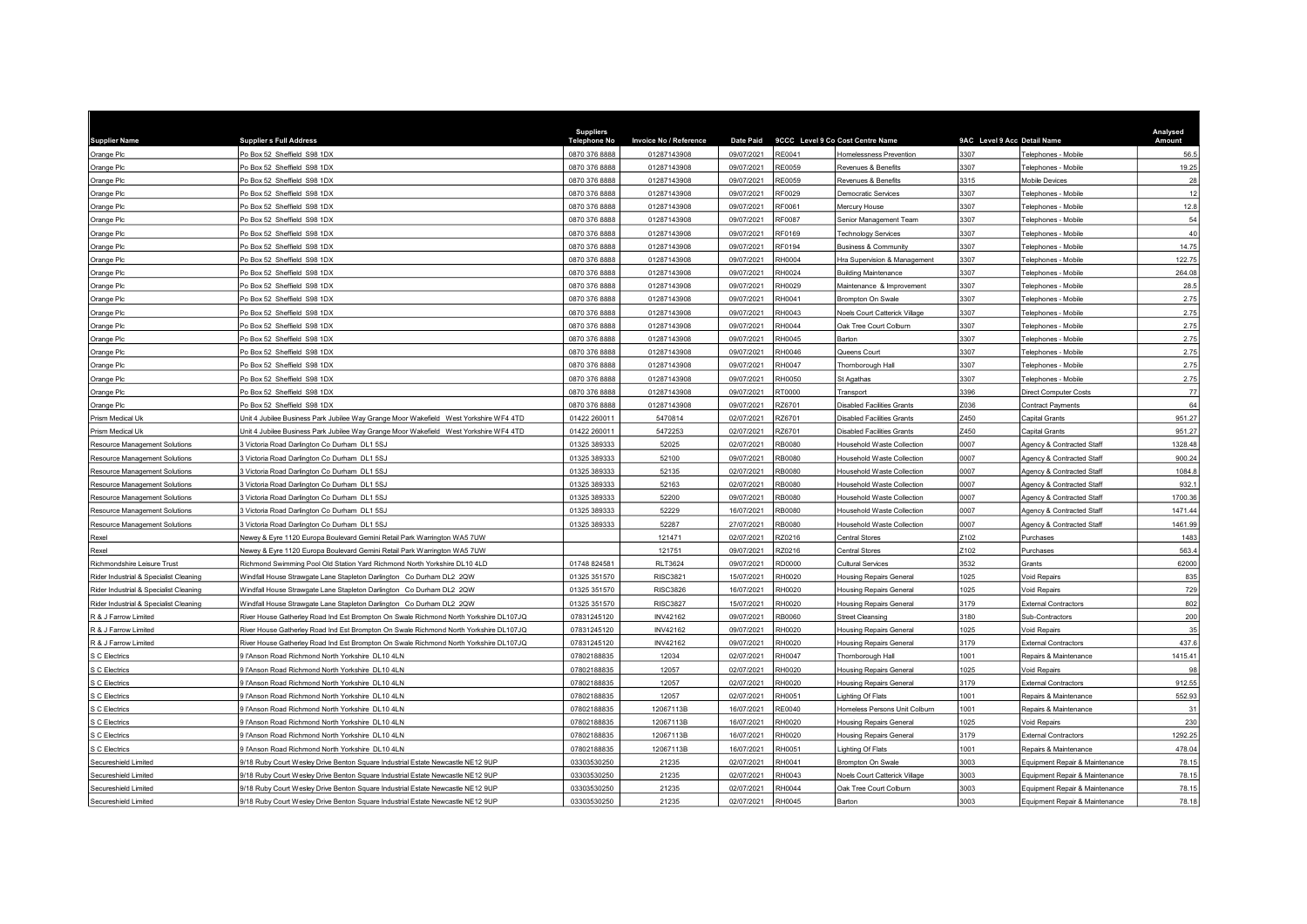| <b>Supplier Name</b>                   | <b>Supplier s Full Address</b>                                                        | <b>Suppliers</b><br>Telephone No | <b>Invoice No / Reference</b> | <b>Date Paid</b> |              | 9CCC Level 9 Co Cost Centre Name  | 9AC Level 9 Acc Detail Name |                                | Analysed<br>Amount |
|----------------------------------------|---------------------------------------------------------------------------------------|----------------------------------|-------------------------------|------------------|--------------|-----------------------------------|-----------------------------|--------------------------------|--------------------|
| Orange Plc                             | Po Box 52 Sheffield S98 1DX                                                           | 0870 376 8888                    | 01287143908                   | 09/07/2021       | RE0041       | Iomelessness Prevention           | 3307                        | Felephones - Mobile            | 56.5               |
| Orange Plc                             | Po Box 52 Sheffield S98 1DX                                                           | 0870 376 8888                    | 01287143908                   | 09/07/2021       | RE0059       | Revenues & Benefits               | 3307                        | Felephones - Mobile            | 19.25              |
| Orange Plc                             | Po Box 52 Sheffield S98 1DX                                                           | 0870 376 8888                    | 01287143908                   | 09/07/2021       | RE0059       | Revenues & Benefits               | 3315                        | Mobile Devices                 | 28                 |
| Orange Plc                             | Po Box 52 Sheffield S98 1DX                                                           | 0870 376 8888                    | 01287143908                   | 09/07/2021       | RF0029       | Democratic Services               | 3307                        | Felephones - Mobile            | 12                 |
| Orange Plc                             | Po Box 52 Sheffield S98 1DX                                                           | 0870 376 8888                    | 01287143908                   | 09/07/2021       | RF0061       | Mercury House                     | 3307                        | Telephones - Mobile            | 12.8               |
| Orange Plc                             | Po Box 52 Sheffield S98 1DX                                                           | 0870 376 8888                    | 01287143908                   | 09/07/2021       | RF0087       | Senior Management Team            | 3307                        | <b>Felephones - Mobile</b>     | 54                 |
| Orange Plc                             | Po Box 52 Sheffield S98 1DX                                                           | 0870 376 8888                    | 01287143908                   | 09/07/2021       | RF0169       | <b>Technology Services</b>        | 3307                        | Felephones - Mobile            | 40                 |
| Orange Plc                             | Po Box 52 Sheffield S98 1DX                                                           | 0870 376 8888                    | 01287143908                   | 09/07/2021       | RF0194       | <b>Business &amp; Community</b>   | 3307                        | Felephones - Mobile            | 14.75              |
| Orange Plc                             | Po Box 52 Sheffield S98 1DX                                                           | 0870 376 8888                    | 01287143908                   | 09/07/2021       | RH0004       | Ira Supervision & Management      | 3307                        | Felephones - Mobile            | 122.75             |
| Orange Plc                             | Po Box 52 Sheffield S98 1DX                                                           | 0870 376 8888                    | 01287143908                   | 09/07/2021       | RH0024       | <b>Building Maintenance</b>       | 3307                        | Felephones - Mobile            | 264.08             |
| Orange Plc                             | Po Box 52 Sheffield S98 1DX                                                           | 0870 376 8888                    | 01287143908                   | 09/07/2021       | RH0029       | Maintenance & Improvement         | 3307                        | elephones - Mobile             | 28.5               |
| Orange Plc                             | Po Box 52 Sheffield S98 1DX                                                           | 0870 376 8888                    | 01287143908                   | 09/07/2021       | RH0041       | <b>Brompton On Swale</b>          | 3307                        | Felephones - Mobile            | 2.75               |
| Orange Plc                             | Po Box 52 Sheffield S98 1DX                                                           | 0870 376 8888                    | 01287143908                   | 09/07/2021       | RH0043       | Noels Court Catterick Village     | 3307                        | Telephones - Mobile            | 2.75               |
| Orange Plc                             | Po Box 52 Sheffield S98 1DX                                                           | 0870 376 8888                    | 01287143908                   | 09/07/2021       | RH0044       | <b>Jak Tree Court Colburn</b>     | 3307                        | Felephones - Mobile            | 2.75               |
| Orange Plc                             | Po Box 52 Sheffield S98 1DX                                                           | 0870 376 8888                    | 01287143908                   | 09/07/2021       | RH0045       | Barton                            | 3307                        | Felephones - Mobile            | 2.75               |
| Orange Plc                             | Po Box 52 Sheffield S98 1DX                                                           | 0870 376 8888                    | 01287143908                   | 09/07/2021       | RH0046       | Queens Court                      | 3307                        | <b>Felephones - Mobile</b>     | 2.75               |
| Orange Plc                             | Po Box 52 Sheffield S98 1DX                                                           | 0870 376 8888                    | 01287143908                   | 09/07/2021       | RH0047       | Thornborough Hall                 | 3307                        | Felephones - Mobile            | 2.75               |
| Orange Plc                             | Po Box 52 Sheffield S98 1DX                                                           | 0870 376 8888                    | 01287143908                   | 09/07/2021       | RH0050       | St Agathas                        | 3307                        | elephones - Mobile             | 2.75               |
| Orange Plc                             | Po Box 52 Sheffield S98 1DX                                                           | 0870 376 8888                    | 01287143908                   | 09/07/2021       | T0000        | Transport                         | 3396                        | Direct Computer Costs          | 77                 |
| Orange Plc                             | Po Box 52 Sheffield S98 1DX                                                           | 0870 376 8888                    | 01287143908                   | 09/07/2021       | RZ6701       | Disabled Facilities Grants        | Z036                        | Contract Payments              | 64                 |
| Prism Medical Uk                       | Jnit 4 Jubilee Business Park Jubilee Way Grange Moor Wakefield West Yorkshire WF4 4TD | 01422 260011                     | 5470814                       | 02/07/2021       | RZ6701       | Disabled Facilities Grants        | Z450                        | Capital Grants                 | 951.27             |
| Prism Medical Uk                       | Unit 4 Jubilee Business Park Jubilee Way Grange Moor Wakefield West Yorkshire WF4 4TD | 01422 260011                     | 5472253                       | 02/07/2021       | RZ6701       | Disabled Facilities Grants        | 2450                        | Capital Grants                 | 951.27             |
| Resource Management Solutions          | 3 Victoria Road Darlington Co Durham DL1 5SJ                                          | 01325 389333                     | 52025                         | 02/07/2021       | RB0080       | lousehold Waste Collection        | 0007                        | Agency & Contracted Staff      | 1328.48            |
| <b>Resource Management Solutions</b>   | 3 Victoria Road Darlington Co Durham DL1 5SJ                                          | 01325 389333                     | 52100                         | 09/07/2021       | RB0080       | lousehold Waste Collection        | 0007                        | Agency & Contracted Staff      | 900.24             |
| <b>Resource Management Solutions</b>   | 3 Victoria Road Darlington Co Durham DL1 5SJ                                          | 01325 389333                     | 52135                         | 02/07/2021       | RB0080       | lousehold Waste Collection        | 0007                        | Agency & Contracted Staff      | 1084.8             |
| <b>Resource Management Solutions</b>   | 3 Victoria Road Darlington Co Durham DL1 5SJ                                          | 01325 389333                     | 52163                         | 02/07/2021       | RB0080       | lousehold Waste Collection        | 0007                        | Agency & Contracted Staff      | 932.1              |
| <b>Resource Management Solutions</b>   | 3 Victoria Road Darlington Co Durham DL1 5SJ                                          | 01325 389333                     | 52200                         | 09/07/2021       | RB0080       | <b>Household Waste Collection</b> | 0007                        | Agency & Contracted Staff      | 1700.36            |
| <b>Resource Management Solutions</b>   | 3 Victoria Road Darlington Co Durham DL1 5SJ                                          | 01325 389333                     | 52229                         | 16/07/2021       | RB0080       | lousehold Waste Collection        | 0007                        | Agency & Contracted Staff      | 1471.44            |
| Resource Management Solutions          | 3 Victoria Road Darlington Co Durham DL1 5SJ                                          | 01325 389333                     | 52287                         | 27/07/2021       | RB0080       | Household Waste Collection        | 0007                        | Agency & Contracted Staff      | 1461.99            |
| Rexel                                  | Newey & Eyre 1120 Europa Boulevard Gemini Retail Park Warrington WA5 7UW              |                                  | 121471                        | 02/07/2021       | Z0216        | Central Stores                    | 102                         | Purchases                      | 1483               |
| Rexel                                  | Newey & Eyre 1120 Europa Boulevard Gemini Retail Park Warrington WA5 7UW              |                                  | 121751                        | 09/07/2021       | RZ0216       | <b>Central Stores</b>             | Z102                        | Purchases                      | 563.4              |
| Richmondshire Leisure Trust            | Richmond Swimming Pool Old Station Yard Richmond North Yorkshire DL10 4LD             | 01748 824581                     | <b>RLT3624</b>                | 09/07/2021       | RD0000       | Cultural Services                 | 3532                        | Grants                         | 62000              |
| Rider Industrial & Specialist Cleaning | Windfall House Strawgate Lane Stapleton Darlington Co Durham DL2 2QW                  | 01325 351570                     | <b>RISC3821</b>               | 15/07/2021       | RH0020       | <b>Housing Repairs General</b>    | 025                         | /oid Repairs                   | 835                |
| Rider Industrial & Specialist Cleaning | Windfall House Strawgate Lane Stapleton Darlington Co Durham DL2 2QW                  | 01325 351570                     | <b>RISC3826</b>               | 16/07/2021       | RH0020       | <b>Housing Repairs General</b>    | 1025                        | /oid Repairs                   | 729                |
| Rider Industrial & Specialist Cleaning | Windfall House Strawgate Lane Stapleton Darlington Co Durham DL2 2QW                  | 01325 351570                     | <b>RISC3827</b>               | 15/07/2021       | RH0020       | <b>Housing Repairs General</b>    | 3179                        | External Contractors           | 802                |
| R & J Farrow Limited                   | River House Gatherley Road Ind Est Brompton On Swale Richmond North Yorkshire DL107JQ | 07831245120                      | INV42162                      | 09/07/2021       | <b>B0060</b> | <b>Street Cleansing</b>           | 180                         | <b>Sub-Contractors</b>         | 200                |
| R & J Farrow Limited                   | River House Gatherley Road Ind Est Brompton On Swale Richmond North Yorkshire DL107JQ | 07831245120                      | <b>INV42162</b>               | 09/07/2021       | RH0020       | <b>Housing Repairs General</b>    | 1025                        | /oid Repairs                   | 35                 |
| R & J Farrow Limited                   | River House Gatherley Road Ind Est Brompton On Swale Richmond North Yorkshire DL107JQ | 07831245120                      | INV42162                      | 09/07/2021       | RH0020       | <b>Housing Repairs General</b>    | 3179                        | <b>External Contractors</b>    | 437.6              |
| S C Electrics                          | 9 l'Anson Road Richmond North Yorkshire DL10 4LN                                      | 07802188835                      | 12034                         | 02/07/2021       | RH0047       | Thornborough Hall                 | 1001                        | Repairs & Maintenance          | 1415.41            |
| S C Electrics                          | I'Anson Road Richmond North Yorkshire DL10 4LN                                        | 07802188835                      | 12057                         | 02/07/2021       | RH0020       | <b>Housing Repairs General</b>    | 1025                        | /oid Repairs                   | 98                 |
| S C Electrics                          | I'Anson Road Richmond North Yorkshire DL10 4LN                                        | 07802188835                      | 12057                         | 02/07/2021       | RH0020       | <b>Housing Repairs General</b>    | 3179                        | External Contractors           | 912.55             |
| S C Electrics                          | IfAnson Road Richmond North Yorkshire DL10 4LN                                        | 07802188835                      | 12057                         | 02/07/2021       | RH0051       | ighting Of Flats                  | 1001                        | Repairs & Maintenance          | 552.93             |
| S C Electrics                          | 9 l'Anson Road Richmond North Yorkshire DL10 4LN                                      | 07802188835                      | 12067113B                     | 16/07/2021       | RE0040       | Iomeless Persons Unit Colburn     | 1001                        | Repairs & Maintenance          | 3'                 |
| S C Electrics                          | I'Anson Road Richmond North Yorkshire DL10 4LN                                        | 07802188835                      | 12067113B                     | 16/07/2021       | RH0020       | <b>Housing Repairs General</b>    | 025                         | oid Repairs                    | 230                |
| S C Electrics                          | IfAnson Road Richmond North Yorkshire DL10 4LN                                        | 07802188835                      | 12067113B                     | 16/07/2021       | RH0020       | <b>Housing Repairs General</b>    | 3179                        | <b>External Contractors</b>    | 1292.25            |
| S C Electrics                          | 9 l'Anson Road Richmond North Yorkshire DL10 4LN                                      | 07802188835                      | 12067113B                     | 16/07/2021       | RH0051       | ighting Of Flats                  | 1001                        | Repairs & Maintenance          | 478.04             |
| Secureshield Limited                   | 9/18 Ruby Court Wesley Drive Benton Square Industrial Estate Newcastle NE12 9UP       | 03303530250                      | 21235                         | 02/07/2021       | RH0041       | Brompton On Swale                 | 3003                        | Equipment Repair & Maintenance | 78.15              |
| Secureshield Limited                   | 1/18 Ruby Court Wesley Drive Benton Square Industrial Estate Newcastle NE12 9UP       | 03303530250                      | 21235                         | 02/07/2021       | RH0043       | Noels Court Catterick Village     | 3003                        | Equipment Repair & Maintenance | 78.1               |
| Secureshield Limited                   | 1/18 Ruby Court Wesley Drive Benton Square Industrial Estate Newcastle NE12 9UP       | 03303530250                      | 21235                         | 02/07/2021       | RH0044       | <b>Dak Tree Court Colburn</b>     | 3003                        | Equipment Repair & Maintenance | 78.1               |
| Secureshield Limited                   | 9/18 Ruby Court Wesley Drive Benton Square Industrial Estate Newcastle NE12 9UP       | 03303530250                      | 21235                         | 02/07/2021       | RH0045       | Barton                            | 3003                        | Equipment Repair & Maintenance | 78.18              |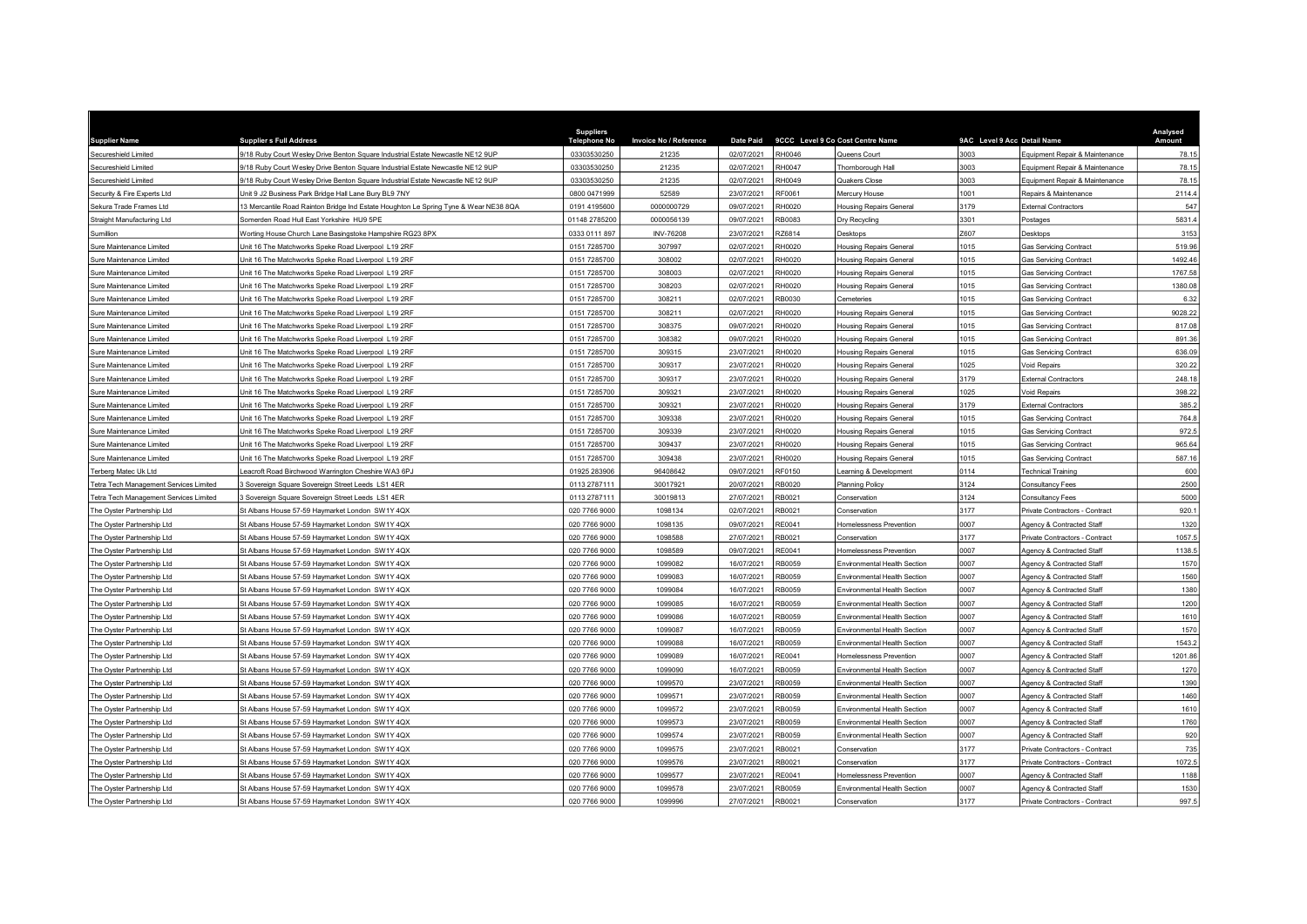| <b>Supplier Name</b>                   | <b>Supplier s Full Address</b>                                                       | <b>Suppliers</b><br><b>Telephone No</b> | <b>Invoice No / Reference</b> | <b>Date Paid</b> |              | 9CCC Level 9 Co Cost Centre Name    | 9AC Level 9 Acc Detail Name |                                           | Analysed<br>Amount |
|----------------------------------------|--------------------------------------------------------------------------------------|-----------------------------------------|-------------------------------|------------------|--------------|-------------------------------------|-----------------------------|-------------------------------------------|--------------------|
| Secureshield Limited                   | 9/18 Ruby Court Wesley Drive Benton Square Industrial Estate Newcastle NE12 9UP      | 03303530250                             | 21235                         | 02/07/2021       | H0046        | Queens Court                        | 3003                        | <b>Equipment Repair &amp; Maintenance</b> | 78.15              |
| Secureshield Limited                   | 9/18 Ruby Court Wesley Drive Benton Square Industrial Estate Newcastle NE12 9UP      | 03303530250                             | 21235                         | 02/07/2021       | <b>H0047</b> | Thornborough Hall                   | 3003                        | Equipment Repair & Maintenance            | 78.1               |
| Secureshield Limited                   | 9/18 Ruby Court Wesley Drive Benton Square Industrial Estate Newcastle NE12 9UP      | 03303530250                             | 21235                         | 02/07/2021       | H0049        | Quakers Close                       | 3003                        | Equipment Repair & Maintenance            | 78.1               |
| Security & Fire Experts Ltd            | Jnit 9 J2 Business Park Bridge Hall Lane Bury BL9 7NY                                | 0800 0471999                            | 52589                         | 23/07/2021       | F0061        | Mercury House                       | 1001                        | Repairs & Maintenance                     | 2114.              |
| Sekura Trade Frames Ltd                | 13 Mercantile Road Rainton Bridge Ind Estate Houghton Le Spring Tyne & Wear NE38 8QA | 0191 4195600                            | 0000000729                    | 09/07/2021       | RH0020       | <b>Housing Repairs General</b>      | 3179                        | External Contractors                      | 547                |
| Straight Manufacturing Ltd             | Somerden Road Hull East Yorkshire HU9 5PE                                            | 01148 2785200                           | 0000056139                    | 09/07/2021       | RB0083       | Dry Recycling                       | 3301                        | <b>Postages</b>                           | 5831.4             |
| Sumillion                              | Worting House Church Lane Basingstoke Hampshire RG23 8PX                             | 0333 0111 897                           | INV-76208                     | 23/07/2021       | <b>Z6814</b> | Desktops                            | Z607                        | Desktops                                  | 3153               |
| Sure Maintenance Limited               | Jnit 16 The Matchworks Speke Road Liverpool L19 2RF                                  | 0151 7285700                            | 307997                        | 02/07/2021       | H0020        | Housing Repairs General             | 1015                        | <b>Gas Servicing Contract</b>             | 519.96             |
| Sure Maintenance Limited               | Jnit 16 The Matchworks Speke Road Liverpool L19 2RF                                  | 0151 7285700                            | 308002                        | 02/07/2021       | H0020        | <b>Housing Repairs General</b>      | 1015                        | <b>Gas Servicing Contract</b>             | 1492.46            |
| Sure Maintenance Limited               | Unit 16 The Matchworks Speke Road Liverpool L19 2RF                                  | 0151 7285700                            | 308003                        | 02/07/2021       | RH0020       | <b>Housing Repairs General</b>      | 1015                        | <b>Gas Servicing Contract</b>             | 1767.58            |
| Sure Maintenance Limited               | Jnit 16 The Matchworks Speke Road Liverpool L19 2RF                                  | 0151 7285700                            | 308203                        | 02/07/2021       | H0020        | <b>Housing Repairs General</b>      | 1015                        | <b>Gas Servicing Contract</b>             | 1380.08            |
| Sure Maintenance Limited               | Jnit 16 The Matchworks Speke Road Liverpool L19 2RF                                  | 0151 7285700                            | 308211                        | 02/07/2021       | RB0030       | Cemeteries                          | 1015                        | <b>Gas Servicing Contract</b>             | 6.32               |
| Sure Maintenance Limited               | Unit 16 The Matchworks Speke Road Liverpool L19 2RF                                  | 0151 7285700                            | 308211                        | 02/07/2021       | H0020        | <b>Housing Repairs General</b>      | 1015                        | <b>Gas Servicing Contract</b>             | 9028.22            |
| Sure Maintenance Limited               | Jnit 16 The Matchworks Speke Road Liverpool L19 2RF                                  | 0151 7285700                            | 308375                        | 09/07/2021       | H0020:       | Housing Repairs General             | 1015                        | <b>Gas Servicing Contract</b>             | 817.08             |
| Sure Maintenance Limited               | Jnit 16 The Matchworks Speke Road Liverpool L19 2RF                                  | 0151 7285700                            | 308382                        | 09/07/2021       | RH0020       | Housing Repairs General             | 1015                        | <b>Gas Servicing Contract</b>             | 891.36             |
| Sure Maintenance Limited               | Jnit 16 The Matchworks Speke Road Liverpool L19 2RF                                  | 0151 7285700                            | 309315                        | 23/07/2021       | H0020        | <b>Housing Repairs General</b>      | 1015                        | <b>Gas Servicing Contract</b>             | 636.09             |
| Sure Maintenance Limited               | Unit 16 The Matchworks Speke Road Liverpool L19 2RF                                  | 0151 7285700                            | 309317                        | 23/07/2021       | H0020        | <b>Housing Repairs General</b>      | 1025                        | Void Repairs                              | 320.22             |
| Sure Maintenance Limited               | Unit 16 The Matchworks Speke Road Liverpool L19 2RF                                  | 0151 7285700                            | 309317                        | 23/07/2021       | RH0020       | <b>Housing Repairs General</b>      | 3179                        | External Contractors                      | 248.18             |
| Sure Maintenance Limited               | Jnit 16 The Matchworks Speke Road Liverpool L19 2RF                                  | 0151 7285700                            | 309321                        | 23/07/2021       | H0020        | <b>Housing Repairs General</b>      | 1025                        | <b>Void Repairs</b>                       | 398.22             |
| Sure Maintenance Limited               | Unit 16 The Matchworks Speke Road Liverpool L19 2RF                                  | 0151 7285700                            | 309321                        | 23/07/2021       | RH0020       | <b>Housing Repairs General</b>      | 3179                        | <b>External Contractors</b>               | 385.2              |
| Sure Maintenance Limited               | Jnit 16 The Matchworks Speke Road Liverpool L19 2RF                                  | 0151 7285700                            | 309338                        | 23/07/2021       | H0020        | <b>Housing Repairs General</b>      | 1015                        | <b>Gas Servicing Contract</b>             | 764.               |
| Sure Maintenance Limited               | Init 16 The Matchworks Speke Road Liverpool L19 2RF                                  | 0151 7285700                            | 309339                        | 23/07/2021       | H0020        | Housing Repairs General             | 1015                        | <b>Gas Servicing Contract</b>             | 972.5              |
| Sure Maintenance Limited               | Jnit 16 The Matchworks Speke Road Liverpool L19 2RF                                  | 0151 7285700                            | 309437                        | 23/07/2021       | H0020        | <b>Housing Repairs General</b>      | 1015                        | <b>Gas Servicing Contract</b>             | 965.64             |
| Sure Maintenance Limited               | Unit 16 The Matchworks Speke Road Liverpool L19 2RF                                  | 0151 7285700                            | 309438                        | 23/07/2021       | H0020        | <b>Housing Repairs General</b>      | 1015                        | <b>Gas Servicing Contract</b>             | 587.1              |
| Terberg Matec Uk Ltd                   | eacroft Road Birchwood Warrington Cheshire WA3 6PJ                                   | 01925 283906                            | 96408642                      | 09/07/2021       | RF0150       | earning & Development               | 0114                        | <b>Technical Training</b>                 | 600                |
| Tetra Tech Management Services Limited | Sovereign Square Sovereign Street Leeds LS1 4ER                                      | 0113 2787111                            | 30017921                      | 20/07/2021       | B0020        | Planning Policy                     | 3124                        | Consultancy Fees                          | 2500               |
| Tetra Tech Management Services Limited | 3 Sovereign Square Sovereign Street Leeds LS1 4ER                                    | 0113 2787111                            | 30019813                      | 27/07/2021       | RB0021       | Conservation                        | 3124                        | Consultancy Fees                          | 5000               |
| The Oyster Partnership Ltd             | St Albans House 57-59 Haymarket London SW1Y 4QX                                      | 020 7766 9000                           | 1098134                       | 02/07/2021       | <b>B0021</b> | Conservation                        | 3177                        | Private Contractors - Contract            | 920.7              |
| The Oyster Partnership Ltd             | St Albans House 57-59 Haymarket London SW1Y 4QX                                      | 020 7766 9000                           | 1098135                       | 09/07/2021       | RE0041       | Homelessness Prevention             | 0007                        | Agency & Contracted Staff                 | 1320               |
| The Oyster Partnership Ltd             | St Albans House 57-59 Haymarket London SW1Y 4QX                                      | 020 7766 9000                           | 1098588                       | 27/07/2021       | B0021        | Conservation                        | 3177                        | Private Contractors - Contract            | 1057.              |
| The Oyster Partnership Ltd             | St Albans House 57-59 Haymarket London SW1Y 4QX                                      | 020 7766 9000                           | 1098589                       | 09/07/2021       | RE0041       | Homelessness Prevention             | 0007                        | Agency & Contracted Staff                 | 1138.              |
| The Oyster Partnership Ltd             | St Albans House 57-59 Haymarket London SW1Y 4QX                                      | 020 7766 9000                           | 1099082                       | 16/07/2021       | RB0059       | Environmental Health Section        | 0007                        | Agency & Contracted Staff                 | 1570               |
| The Oyster Partnership Ltd             | St Albans House 57-59 Haymarket London SW1Y 4QX                                      | 020 7766 9000                           | 1099083                       | 16/07/2021       | :B0059       | Fnvironmental Health Section        | 0007                        | Agency & Contracted Staff                 | 1560               |
| The Oyster Partnership Ltd             | St Albans House 57-59 Haymarket London SW1Y 4QX                                      | 020 7766 9000                           | 1099084                       | 16/07/2021       | B0059        | Environmental Health Section        | 0007                        | Agency & Contracted Staff                 | 1380               |
| The Oyster Partnership Ltd             | St Albans House 57-59 Haymarket London SW1Y 4QX                                      | 020 7766 9000                           | 1099085                       | 16/07/2021       | B0059        | Environmental Health Section        | 0007                        | Agency & Contracted Staff                 | 1200               |
| The Oyster Partnership Ltd             | St Albans House 57-59 Haymarket London SW1Y 4QX                                      | 020 7766 9000                           | 1099086                       | 16/07/2021       | B0059        | Environmental Health Section        | 0007                        | Agency & Contracted Staff                 | 1610               |
| The Oyster Partnership Ltd             | St Albans House 57-59 Haymarket London SW1Y 4QX                                      | 020 7766 9000                           | 1099087                       | 16/07/2021       | B0059        | Environmental Health Section        | 0007                        | Agency & Contracted Staff                 | 1570               |
| The Oyster Partnership Ltd             | St Albans House 57-59 Haymarket London SW1Y 4QX                                      | 020 7766 9000                           | 1099088                       | 16/07/2021       | RB0059       | <b>Fnvironmental Health Section</b> | 0007                        | Agency & Contracted Staff                 | 1543.2             |
| The Oyster Partnership Ltd             | St Albans House 57-59 Haymarket London SW1Y 4QX                                      | 020 7766 9000                           | 1099089                       | 16/07/2021       | RE0041       | Homelessness Prevention             | 0007                        | Agency & Contracted Staff                 | 1201.86            |
| The Oyster Partnership Ltd             | St Albans House 57-59 Haymarket London SW1Y 4QX                                      | 020 7766 9000                           | 1099090                       | 16/07/2021       | B0059        | Environmental Health Section        | 0007                        | Agency & Contracted Staff                 | 1270               |
| The Oyster Partnership Ltd             | St Albans House 57-59 Haymarket London SW1Y 4QX                                      | 020 7766 9000                           | 1099570                       | 23/07/2021       | B0059        | Environmental Health Section        | 0007                        | Agency & Contracted Staff                 | 1390               |
| The Oyster Partnership Ltd             | St Albans House 57-59 Haymarket London SW1Y 4QX                                      | 020 7766 9000                           | 1099571                       | 23/07/2021       | B0059        | Environmental Health Section        | 0007                        | Agency & Contracted Staff                 | 1460               |
| The Oyster Partnership Ltd             | St Albans House 57-59 Haymarket London SW1Y 4QX                                      | 020 7766 9000                           | 1099572                       | 23/07/2021       | B0059        | Environmental Health Section        | 0007                        | Agency & Contracted Staff                 | 1610               |
| The Oyster Partnership Ltd             | St Albans House 57-59 Haymarket London SW1Y 4QX                                      | 020 7766 9000                           | 1099573                       | 23/07/2021       | B0059        | Environmental Health Section        | 0007                        | <b>Agency &amp; Contracted Staff</b>      | 1760               |
| The Oyster Partnership Ltd             | St Albans House 57-59 Haymarket London SW1Y 4QX                                      | 020 7766 9000                           | 1099574                       | 23/07/2021       | B0059        | Environmental Health Section        | 0007                        | Agency & Contracted Staff                 | 920                |
| The Oyster Partnership Ltd             | St Albans House 57-59 Haymarket London SW1Y 4QX                                      | 020 7766 9000                           | 1099575                       | 23/07/2021       | RB0021       | Conservation                        | 3177                        | Private Contractors - Contract            | 735                |
| The Oyster Partnership Ltd             | St Albans House 57-59 Haymarket London SW1Y 4QX                                      | 020 7766 9000                           | 1099576                       | 23/07/2021       | B0021:       | Conservation                        | 3177                        | Private Contractors - Contract            | 1072.              |
| The Oyster Partnership Ltd             | St Albans House 57-59 Haymarket London SW1Y 4QX                                      | 020 7766 9000                           | 1099577                       | 23/07/2021       | E0041        | Homelessness Prevention             | 0007                        | Agency & Contracted Staff                 | 1188               |
| The Oyster Partnership Ltd             | St Albans House 57-59 Haymarket London SW1Y 4QX                                      | 020 7766 9000                           | 1099578                       | 23/07/2021       | B0059        | Environmental Health Section        | 0007                        | Agency & Contracted Staff                 | 1530               |
| The Oyster Partnership Ltd             | St Albans House 57-59 Haymarket London SW1Y 4QX                                      | 020 7766 9000                           | 1099996                       | 27/07/2021       | RB0021       | Conservation                        | 3177                        | Private Contractors - Contract            | 997.5              |